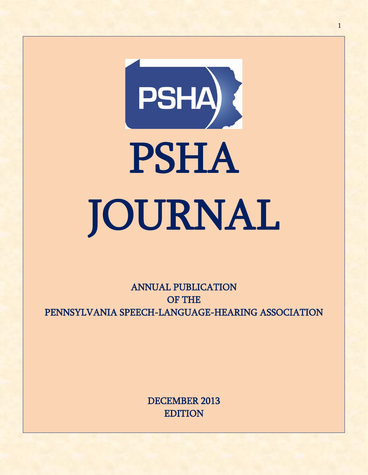

ANNUAL PUBLICATION OF THE PENNSYLVANIA SPEECH-LANGUAGE-HEARING ASSOCIATION

> DECEMBER 2013 EDITION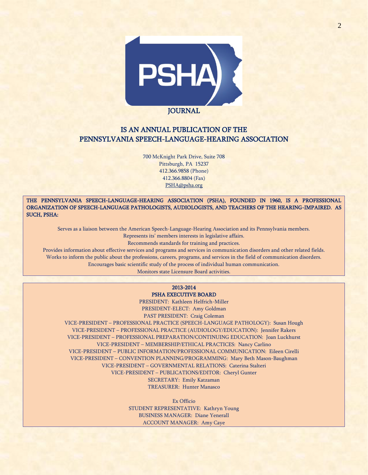

# IS AN ANNUAL PUBLICATION OF THE PENNSYLVANIA SPEECH-LANGUAGE-HEARING ASSOCIATION

700 McKnight Park Drive, Suite 708 Pittsburgh, PA 15237 412.366.9858 (Phone) 412.366.8804 (Fax) [PSHA@psha.org](mailto:PSHA@psha.org)

THE PENNSYLVANIA SPEECH-LANGUAGE-HEARING ASSOCIATION (PSHA), FOUNDED IN 1960, IS A PROFESSIONAL ORGANIZATION OF SPEECH-LANGUAGE PATHOLOGISTS, AUDIOLOGISTS, AND TEACHERS OF THE HEARING-IMPAIRED. AS SUCH, PSHA:

Serves as a liaison between the American Speech-Language-Hearing Association and its Pennsylvania members. Represents its' members interests in legislative affairs.

Recommends standards for training and practices.

Provides information about effective services and programs and services in communication disorders and other related fields. Works to inform the public about the professions, careers, programs, and services in the field of communication disorders.

Encourages basic scientific study of the process of individual human communication.

Monitors state Licensure Board activities.

## 2013-2014 PSHA EXECUTIVE BOARD

PRESIDENT: Kathleen Helfrich-Miller PRESIDENT-ELECT: Amy Goldman PAST PRESIDENT: Craig Coleman

VICE-PRESIDENT – PROFESSIONAL PRACTICE (SPEECH-LANGUAGE PATHOLOGY): Susan Hough VICE-PRESIDENT – PROFESSIONAL PRACTICE (AUDIOLOGY/EDUCATION): Jennifer Rakers VICE-PRESIDENT – PROFESSIONAL PREPARATION/CONTINUING EDUCATION: Joan Luckhurst VICE-PRESIDENT – MEMBERSHIP/ETHICAL PRACTICES: Nancy Carlino VICE-PRESIDENT – PUBLIC INFORMATION/PROFESSIONAL COMMUNICATION: Eileen Cirelli VICE-PRESIDENT – CONVENTION PLANNING/PROGRAMMING: Mary Beth Mason-Baughman VICE-PRESIDENT – GOVERNMENTAL RELATIONS: Caterina Stalteri VICE-PRESIDENT – PUBLICATIONS/EDITOR: Cheryl Gunter SECRETARY: Emily Katzaman TREASURER: Hunter Manasco

> Ex Officio STUDENT REPRESENTATIVE: Kathryn Young BUSINESS MANAGER: Diane Yenerall ACCOUNT MANAGER: Amy Caye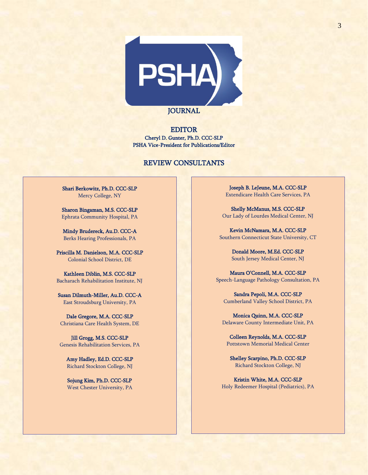

EDITOR Cheryl D. Gunter, Ph.D. CCC-SLP PSHA Vice-President for Publications/Editor

# REVIEW CONSULTANTS

Shari Berkowitz, Ph.D. CCC-SLP Mercy College, NY

Sharon Bingaman, M.S. CCC-SLP Ephrata Community Hospital, PA

Mindy Brudereck, Au.D. CCC-A Berks Hearing Professionals, PA

Priscilla M. Danielson, M.A. CCC-SLP Colonial School District, DE

Kathleen Diblin, M.S. CCC-SLP Bacharach Rehabilitation Institute, NJ

Susan Dilmuth-Miller, Au.D. CCC-A East Stroudsburg University, PA

Dale Gregore, M.A. CCC-SLP Christiana Care Health System, DE

Jill Grogg, M.S. CCC-SLP Genesis Rehabilitation Services, PA

Amy Hadley, Ed.D. CCC-SLP Richard Stockton College, NJ

Sojung Kim, Ph.D. CCC-SLP West Chester University, PA

Joseph B. LeJeune, M.A. CCC-SLP Extendicare Health Care Services, PA

Shelly McManus, M.S. CCC-SLP Our Lady of Lourdes Medical Center, NJ

Kevin McNamara, M.A. CCC-SLP Southern Connecticut State University, CT

> Donald Moore, M.Ed. CCC-SLP South Jersey Medical Center, NJ

Maura O'Connell, M.A. CCC-SLP Speech-Language Pathology Consultation, PA

Sandra Pepoli, M.A. CCC-SLP Cumberland Valley School District, PA

Monica Quinn, M.A. CCC-SLP Delaware County Intermediate Unit, PA

Colleen Reynolds, M.A. CCC-SLP Pottstown Memorial Medical Center

Shelley Scarpino, Ph.D. CCC-SLP Richard Stockton College, NJ

Kristin White, M.A. CCC-SLP Holy Redeemer Hospital (Pediatrics), PA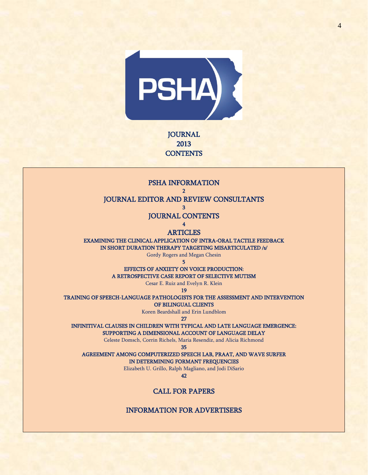

**JOURNAL** 2013 **CONTENTS** 

 $\overline{2}$ JOURNAL EDITOR AND REVIEW CONSULTANTS 3 JOURNAL CONTENTS 4 **ARTICLES** EXAMINING THE CLINICAL APPLICATION OF INTRA-ORAL TACTILE FEEDBACK

PSHA INFORMATION

IN SHORT DURATION THERAPY TARGETING MISARTICULATED /s/

Gordy Rogers and Megan Chesin 5

EFFECTS OF ANXIETY ON VOICE PRODUCTION: A RETROSPECTIVE CASE REPORT OF SELECTIVE MUTISM

Cesar E. Ruiz and Evelyn R. Klein

19

TRAINING OF SPEECH-LANGUAGE PATHOLOGISTS FOR THE ASSESSMENT AND INTERVENTION

OF BILINGUAL CLIENTS

Koren Beardshall and Erin Lundblom

27

INFINITIVAL CLAUSES IN CHILDREN WITH TYPICAL AND LATE LANGUAGE EMERGENCE: SUPPORTING A DIMENSIONAL ACCOUNT OF LANGUAGE DELAY

Celeste Domsch, Corrin Richels, Maria Resendiz, and Alicia Richmond

35

AGREEMENT AMONG COMPUTERIZED SPEECH LAB, PRAAT, AND WAVE SURFER

IN DETERMINING FORMANT FREQUENCIES

Elizabeth U. Grillo, Ralph Magliano, and Jodi DiSario

42

# CALL FOR PAPERS

INFORMATION FOR ADVERTISERS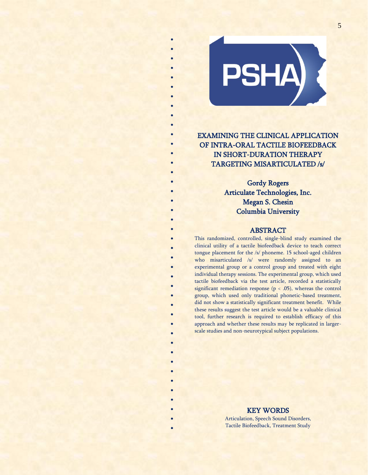EXAMINING THE CLINICAL APPLICATION OF INTRA-ORAL TACTILE BIOFEEDBACK IN SHORT-DURATION THERAPY TARGETING MISARTICULATED /s/

PSHA)

\* \* \* \* \* \* \* \* \* \* \* \* \* \*

> \* \* \* \*

> \* \*

> \* \* \* \* \* \* \* \*

> > \* \* \* \* \* \* \* \* \* \* \* \* \* \*

Gordy Rogers Articulate Technologies, Inc. Megan S. Chesin Columbia University

## ABSTRACT

This randomized, controlled, single-blind study examined the clinical utility of a tactile biofeedback device to teach correct tongue placement for the /s/ phoneme. 15 school-aged children who misarticulated /s/ were randomly assigned to an experimental group or a control group and treated with eight individual therapy sessions. The experimental group, which used tactile biofeedback via the test article, recorded a statistically significant remediation response ( $p < .05$ ), whereas the control group, which used only traditional phonetic-based treatment, did not show a statistically significant treatment benefit. While these results suggest the test article would be a valuable clinical tool, further research is required to establish efficacy of this approach and whether these results may be replicated in largerscale studies and non-neurotypical subject populations.

# KEY WORDS

Articulation, Speech Sound Disorders, Tactile Biofeedback, Treatment Study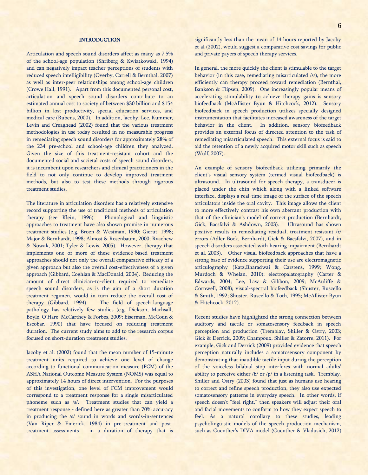## **INTRODUCTION**

Articulation and speech sound disorders affect as many as 7.5% of the school-age population (Shriberg & Kwiatkowski, 1994) and can negatively impact teacher perceptions of students with reduced speech intelligibility (Overby, Carrell & Bernthal, 2007) as well as inter-peer relationships among school-age children (Crowe Hall, 1991). Apart from this documented personal cost, articulation and speech sound disorders contribute to an estimated annual cost to society of between \$30 billion and \$154 billion in lost productivity, special education services, and medical care (Rubens, 2000). In addition, Jacoby, Lee, Kummer, Levin and Creaghead (2002) found that the various treatment methodologies in use today resulted in no measurable progress in remediating speech sound disorders for approximately 28% of the 234 pre-school and school-age children they analyzed. Given the size of this treatment-resistant cohort and the documented social and societal costs of speech sound disorders, it is incumbent upon researchers and clinical practitioners in the field to not only continue to develop improved treatment methods, but also to test these methods through rigorous treatment studies.

The literature in articulation disorders has a relatively extensive record supporting the use of traditional methods of articulation therapy (see Klein, 1996). Phonological and linguistic approaches to treatment have also shown promise in numerous treatment studies (e.g. Broen & Westman, 1990; Gierut, 1998; Major & Bernhardt, 1998; Almost & Rosenbaum, 2000; Rvachew & Nowak, 2001; Tyler & Lewis, 2005). However, therapy that implements one or more of these evidence-based treatment approaches should not only the overall comparative efficacy of a given approach but also the overall cost-effectiveness of a given approach (Gibbard, Coghlan & MacDonald, 2004). Reducing the amount of direct clinician-to-client required to remediate speech sound disorders, as is the aim of a short duration treatment regimen, would in turn reduce the overall cost of therapy (Gibbard, 1994). The field of speech-language pathology has relatively few studies (e.g. Dickson, Marhsall, Boyle, O'Hare, McCarthey & Forbes, 2009; Eiserman, McCoun & Escobar, 1990) that have focused on reducing treatment duration. The current study aims to add to the research corpus focused on short-duration treatment studies.

Jacoby et al. (2002) found that the mean number of 15-minute treatment units required to achieve one level of change according to functional communication measure (FCM) of the ASHA National Outcome Measure System (NOMS) was equal to approximately 14 hours of direct intervention. For the purposes of this investigation, one level of FCM improvement would correspond to a treatment response for a single misarticulated phoneme such as /s/. Treatment studies that can yield a treatment response - defined here as greater than 70% accuracy in producing the /s/ sound in words and words-in-sentences (Van Riper & Emerick, 1984) in pre-treatment and posttreatment assessments – in a duration of therapy that is significantly less than the mean of 14 hours reported by Jacoby et al (2002), would suggest a comparative cost savings for public and private payers of speech therapy services.

In general, the more quickly the client is stimulable to the target behavior (in this case, remediating misarticulated /s/), the more efficiently can therapy proceed toward remediation (Bernthal, Bankson & Flipsen, 2009). One increasingly popular means of accelerating stimulability to achieve therapy gains is sensory biofeedback (McAllister Byun & Hitchcock, 2012). Sensory biofeedback in speech production utilizes specially designed instrumentation that facilitates increased awareness of the target behavior in the client. In addition, sensory biofeedback provides an external focus of directed attention to the task of remediating misarticulated speech. This external focus is said to aid the retention of a newly acquired motor skill such as speech (Wulf, 2007).

An example of sensory biofeedback utilizing primarily the client's visual sensory system (termed visual biofeedback) is ultrasound. In ultrasound for speech therapy, a transducer is placed under the chin which along with a linked software interface, displays a real-time image of the surface of the speech articulators inside the oral cavity. This image allows the client to more effectively contrast his own aberrant production with that of the clinician's model of correct production (Bernhardt, Gick, Bacsfalvi & Ashdown, 2003). Ultrasound has shown positive results in remediating residual, treatment-resistant /r/ errors (Adler-Bock, Bernhardt, Gick & Bacsfalvi, 2007), and in speech disorders associated with hearing impairment (Bernhardt et al, 2003). Other visual biofeedback approaches that have a strong base of evidence supporting their use are electromagnetic articulography (Katz,Bharadwai & Carstens, 1999; Wong, Murdoch & Whelan, 2010); electropalatography (Carter & Edwards, 2004; Lee, Law & Gibbon, 2009; McAuliffe & Cornwell, 2008); visual-spectral biofeedback (Shuster, Ruscello & Smith, 1992; Shuster, Ruscello & Toth, 1995; McAllister Byun & Hitchcock, 2012).

Recent studies have highlighted the strong connection between auditory and tactile or somatosensory feedback in speech perception and production (Tremblay, Shiller & Ostry, 2003; Gick & Derrick, 2009; Champoux, Shiller & Zatorre, 2011). For example, Gick and Derrick (2009) provided evidence that speech perception naturally includes a somatosensory component by demonstrating that inaudible tactile input during the perception of the voiceless bilabial stop interferes with normal adults' ability to perceive either /b/ or /p/ in a listening task. Tremblay, Shiller and Ostry (2003) found that just as humans use hearing to correct and refine speech production, they also use expected somatosensory patterns in everyday speech. In other words, if speech doesn't "feel right," then speakers will adjust their oral and facial movements to conform to how they expect speech to feel. As a natural corollary to these studies, leading psycholinguistic models of the speech production mechanism, such as Guenther's DIVA model (Guenther & Vladusich, 2012)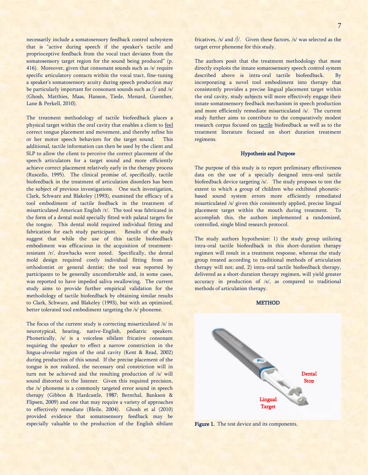necessarily include a somatosensory feedback control subsystem that is "active during speech if the speaker's tactile and proprioceptive feedback from the vocal tract deviates from the somatosensory target region for the sound being produced" (p. 416). Moreover, given that consonant sounds such as /s/ require specific articulatory contacts within the vocal tract, fine-tuning a speaker's somatosensory acuity during speech production may be particularly important for consonant sounds such as /∫/ and /s/ (Ghosh, Matthies, Maas, Hanson, Tiede, Menard, Guenther, Lane & Perkell, 2010).

The treatment methodology of tactile biofeedback places a physical target within the oral cavity that enables a client to feel correct tongue placement and movement, and thereby refine his or her motor speech behaviors for the target sound. This additional, tactile information can then be used by the client and SLP to allow the client to perceive the correct placement of the speech articulators for a target sound and more efficiently achieve correct placement relatively early in the therapy process (Ruscello, 1995). The clinical promise of, specifically, tactile biofeedback in the treatment of articulation disorders has been the subject of previous investigations. One such investigation, Clark, Schwarz and Blakeley (1993), examined the efficacy of a tool embodiment of tactile feedback in the treatment of misarticulated American English /r/. The tool was fabricated in the form of a dental mold specially fitted with palatal targets for the tongue. This dental mold required individual fitting and fabrication for each study participant. Results of the study suggest that while the use of this tactile biofeedback embodiment was efficacious in the acquisition of treatmentresistant /r/, drawbacks were noted. Specifically, the dental mold design required costly individual fitting from an orthodontist or general dentist; the tool was reported by participants to be generally uncomfortable and, in some cases, was reported to have impeded saliva swallowing. The current study aims to provide further empirical validation for the methodology of tactile biofeedback by obtaining similar results to Clark, Schwarz, and Blakeley (1993), but with an optimized, better tolerated tool embodiment targeting the /s/ phoneme.

The focus of the current study is correcting misarticulated /s/ in neurotypical, hearing, native-English, pediatric speakers. Phonetically, /s/ is a voiceless sibilant fricative consonant requiring the speaker to effect a narrow constriction in the lingua-alveolar region of the oral cavity (Kent & Read, 2002) during production of this sound. If the precise placement of the tongue is not realized, the necessary oral constriction will in turn not be achieved and the resulting production of /s/ will sound distorted to the listener. Given this required precision, the /s/ phoneme is a commonly targeted error sound in speech therapy (Gibbon & Hardcastle, 1987; Bernthal, Bankson & Flipsen, 2009) and one that may require a variety of approaches to effectively remediate (Bleile, 2004). Ghosh et al (2010) provided evidence that somatosensory feedback may be especially valuable to the production of the English sibilant fricatives, /s/ and /∫/. Given these factors, /s/ was selected as the target error phoneme for this study.

The authors posit that the treatment methodology that most directly exploits the innate somatosensory speech control system described above is intra-oral tactile biofeedback. By incorporating a novel tool embodiment into therapy that consistently provides a precise lingual placement target within the oral cavity, study subjects will more effectively engage their innate somatosensory feedback mechanism in speech production and more efficiently remediate misarticulated /s/. The current study further aims to contribute to the comparatively modest research corpus focused on tactile biofeedback as well as to the treatment literature focused on short duration treatment regimens.

#### Hypothesis and Purpose

The purpose of this study is to report preliminary effectiveness data on the use of a specially designed intra-oral tactile biofeedback device targeting /s/. The study proposes to test the extent to which a group of children who exhibited phoneticbased sound system errors more efficiently remediated misarticulated /s/ given this consistently applied, precise lingual placement target within the mouth during treatment. To accomplish this, the authors implemented a randomized, controlled, single blind research protocol.

The study authors hypothesize: 1) the study group utilizing intra-oral tactile biofeedback in this short-duration therapy regimen will result in a treatment response, whereas the study group treated according to traditional methods of articulation therapy will not; and, 2) intra-oral tactile biofeedback therapy, delivered as a short-duration therapy regimen, will yield greater accuracy in production of /s/, as compared to traditional methods of articulation therapy.



Figure 1. The test device and its components.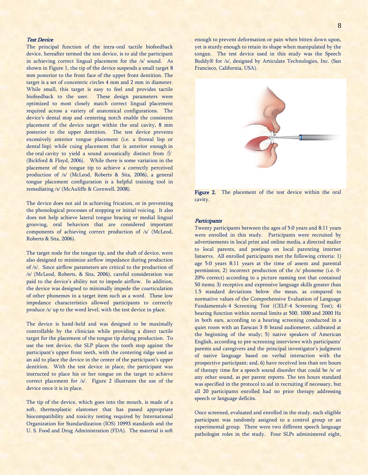## Test Device

The principal function of the intra-oral tactile biofeedback device, hereafter termed the test device, is to aid the participant in achieving correct lingual placement for the /s/ sound. As shown in Figure 1, the tip of the device suspends a small target 8 mm posterior to the front face of the upper front dentition. The target is a set of concentric circles 4 mm and 2 mm in diameter. While small, this target is easy to feel and provides tactile biofeedback to the user. These design parameters were optimized to most closely match correct lingual placement required across a variety of anatomical configurations. The device's dental stop and centering notch enable the consistent placement of the device target within the oral cavity, 8 mm posterior to the upper dentition. The test device prevents excessively anterior tongue placement (i.e. a frontal lisp or dental lisp) while cuing placement that is anterior enough in the oral cavity to yield a sound acoustically distinct from /∫/ (Bickford & Floyd, 2006). While there is some variation in the placement of the tongue tip to achieve a correctly perceived production of /s/ (McLeod, Roberts & Sita, 2006), a general tongue placement configuration is a helpful training tool in remediating /s/ (McAuliffe & Cornwell, 2008).

The device does not aid in achieving frication, or in preventing the phonological processes of stopping or initial voicing. It also does not help achieve lateral tongue bracing or medial lingual grooving, oral behaviors that are considered important components of achieving correct production of /s/ (McLeod, Roberts & Sita, 2006).

The target node for the tongue tip, and the shaft of device, were also designed to minimize airflow impedance during production of /s/. Since airflow parameters are critical to the production of /s/ (McLeod, Roberts, & Sita, 2006), careful consideration was paid to the device's ability not to impede airflow. In addition, the device was designed to minimally impede the coarticulation of other phonemes in a target item such as a word. These low impedance characteristics allowed participants to correctly produce /s/ up to the word level, with the test device in place.

The device is hand-held and was designed to be maximally controllable by the clinician while providing a direct tactile target for the placement of the tongue tip during production. To use the test device, the SLP places the tooth stop against the participant's upper front teeth, with the centering ridge used as an aid to place the device in the center of the participant's upper dentition. With the test device in place, the participant was instructed to place his or her tongue on the target to achieve correct placement for /s/. Figure 2 illustrates the use of the device once it is in place.

The tip of the device, which goes into the mouth, is made of a soft, thermoplastic elastomer that has passed appropriate biocompatibility and toxicity testing required by International Organization for Standardization (IOS) 10993 standards and the U. S. Food and Drug Administration (FDA). The material is soft enough to prevent deformation or pain when bitten down upon, yet is sturdy enough to retain its shape when manipulated by the

tongue. The test device used in this study was the Speech Buddy® for /s/, designed by Articulate Technologies, Inc. (San

Francisco, California, USA).

Figure 2. The placement of the test device within the oral cavity.

## **Participants**

Twenty participants between the ages of 5:0 years and 8:11 years were enrolled in this study. Participants were recruited by advertisements in local print and online media, a directed mailer to local parents, and postings on local parenting internet listservs. All enrolled participants met the following criteria: 1) age 5:0 years 8:11 years at the time of assent and parental permission; 2) incorrect production of the /s/ phoneme (i.e. 0- 20% correct) according to a picture naming test that contained 50 items; 3) receptive and expressive language skills greater than 1.5 standard deviations below the mean, as compared to normative values of the Comprehensive Evaluation of Language Fundamentals-4 Screening Test (CELF-4 Screening Test); 4) hearing function within normal limits at 500, 1000 and 2000 Hz in both ears, according to a hearing screening conducted in a quiet room with an Earscan 3 ® brand audiometer, calibrated at the beginning of the study; 5) native speakers of American English, according to pre-screening interviews with participants' parents and caregivers and the principal investigator's judgment of native language based on verbal interaction with the prospective participant; and, 6) have received less than ten hours of therapy time for a speech sound disorder that could be /s/ or any other sound, as per parent reports. The ten hours standard was specified in the protocol to aid in recruiting if necessary, but all 20 participants enrolled had no prior therapy addressing speech or language deficits.

Once screened, evaluated and enrolled in the study, each eligible participant was randomly assigned to a control group or an experimental group. There were two different speech language pathologist roles in the study. Four SLPs administered eight,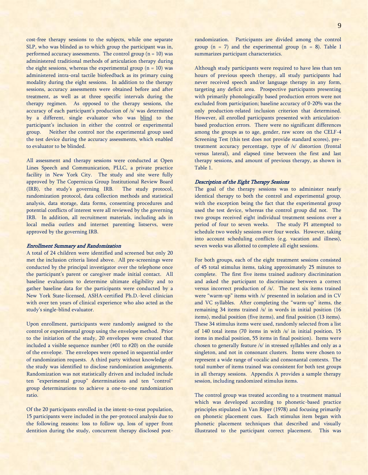cost-free therapy sessions to the subjects, while one separate SLP, who was blinded as to which group the participant was in, performed accuracy assessments. The control group  $(n = 10)$  was administered traditional methods of articulation therapy during the eight sessions, whereas the experimental group  $(n = 10)$  was administered intra-oral tactile biofeedback as its primary cuing modality during the eight sessions. In addition to the therapy sessions, accuracy assessments were obtained before and after treatment, as well as at three specific intervals during the therapy regimen. As opposed to the therapy sessions, the accuracy of each participant's production of /s/ was determined by a different, single evaluator who was blind to the participant's inclusion in either the control or experimental group. Neither the control nor the experimental group used the test device during the accuracy assessments, which enabled to evaluator to be blinded.

All assessment and therapy sessions were conducted at Open Lines Speech and Communication, PLLC, a private practice facility in New York City. The study and site were fully approved by The Copernicus Group Institutional Review Board (IRB), the study's governing IRB. The study protocol, randomization protocol, data collection methods and statistical analysis, data storage, data forms, consenting procedures and potential conflicts of interest were all reviewed by the governing IRB. In addition, all recruitment materials, including ads in local media outlets and internet parenting listservs, were approved by the governing IRB.

#### Enrollment Summary and Randomization

A total of 24 children were identified and screened but only 20 met the inclusion criteria listed above. All pre-screenings were conducted by the principal investigator over the telephone once the participant's parent or caregiver made initial contact. All baseline evaluations to determine ultimate eligibility and to gather baseline data for the participants were conducted by a New York State-licensed, ASHA-certified Ph.D.-level clinician with over ten years of clinical experience who also acted as the study's single-blind evaluator.

Upon enrollment, participants were randomly assigned to the control or experimental group using the envelope method. Prior to the initiation of the study, 20 envelopes were created that included a visible sequence number (#01 to #20) on the outside of the envelope. The envelopes were opened in sequential order of randomization requests. A third party without knowledge of the study was identified to disclose randomization assignments. Randomization was not statistically driven and included include ten "experimental group" determinations and ten "control" group determinations to achieve a one-to-one randomization ratio.

Of the 20 participants enrolled in the intent-to-treat population, 15 participants were included in the per-protocol analysis due to the following reasons: loss to follow up, loss of upper front dentition during the study, concurrent therapy disclosed postrandomization. Participants are divided among the control group  $(n = 7)$  and the experimental group  $(n = 8)$ . Table I summarizes participant characteristics.

Although study participants were required to have less than ten hours of previous speech therapy, all study participants had never received speech and/or language therapy in any form, targeting any deficit area. Prospective participants presenting with primarily phonologically based production errors were not excluded from participation; baseline accuracy of 0-20% was the only production-related inclusion criterion that determined. However, all enrolled participants presented with articulationbased production errors. There were no significant differences among the groups as to age, gender, raw score on the CELF-4 Screening Test (this test does not provide standard scores), pretreatment accuracy percentage, type of /s/ distortion (frontal versus lateral), and elapsed time between the first and last therapy sessions, and amount of previous therapy, as shown in Table 1.

## Description of the Eight Therapy Sessions

The goal of the therapy sessions was to administer nearly identical therapy to both the control and experimental group, with the exception being the fact that the experimental group used the test device, whereas the control group did not. The two groups received eight individual treatment sessions over a period of four to seven weeks. The study PI attempted to schedule two weekly sessions over four weeks. However, taking into account scheduling conflicts (e.g. vacation and illness), seven weeks was allotted to complete all eight sessions.

For both groups, each of the eight treatment sessions consisted of 45 total stimulus items, taking approximately 25 minutes to complete. The first five items trained auditory discrimination and asked the participant to discriminate between a correct versus incorrect production of /s/. The next six items trained were "warm-up" items with /s/ presented in isolation and in CV and VC syllables. After completing the "warm-up" items, the remaining 34 items trained /s/ in words in initial position (16 items), medial position (five items), and final position (13 items). These 34 stimulus items were used, randomly selected from a list of 140 total items (70 items in with /s/ in initial position, 15 items in medial position, 55 items in final position). Items were chosen to generally feature /s/ in stressed syllables and only as a singleton, and not in consonant clusters. Items were chosen to represent a wide range of vocalic and consonantal contexts. The total number of items trained was consistent for both test groups in all therapy sessions. Appendix A provides a sample therapy session, including randomized stimulus items.

The control group was treated according to a treatment manual which was developed according to phonetic-based practice principles stipulated in Van Riper (1978) and focusing primarily on phonetic placement cues. Each stimulus item began with phonetic placement techniques that described and visually illustrated to the participant correct placement. This was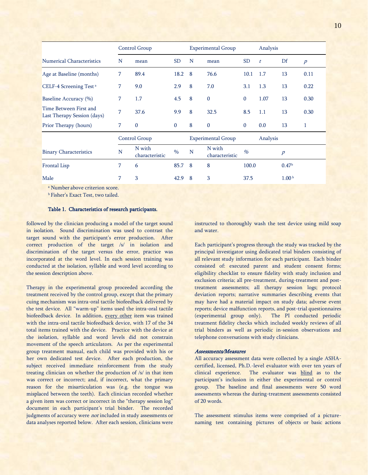|                                                       |                        | Control Group            |                                   |                               | <b>Experimental Group</b> |                            | Analysis          |                |                  |
|-------------------------------------------------------|------------------------|--------------------------|-----------------------------------|-------------------------------|---------------------------|----------------------------|-------------------|----------------|------------------|
| <b>Numerical Characteristics</b>                      | N                      | mean                     | <b>SD</b>                         | N                             | mean                      | <b>SD</b>                  | t                 | Df             | $\boldsymbol{p}$ |
| Age at Baseline (months)                              | 7<br>89.4<br>18.2<br>8 |                          |                                   | 76.6                          | 10.1                      | 1.7                        | 13                | 0.11           |                  |
| CELF-4 Screening Test <sup>a</sup>                    | 8<br>7<br>9.0<br>2.9   |                          |                                   | 7.0                           | 3.1                       | 1.3                        | 13                | 0.22           |                  |
| Baseline Accuracy (%)                                 | 7                      | 1.7                      | 4.5                               | 8                             | $\mathbf{0}$              | $\boldsymbol{0}$           | 1.07              | 13             | 0.30             |
| Time Between First and<br>Last Therapy Session (days) | 7<br>37.6<br>9.9       |                          | 8                                 | 32.5                          | 8.5                       | 1.1                        | 13                | 0.30           |                  |
| Prior Therapy (hours)                                 | 7                      | $\mathbf{0}$             | $\mathbf{0}$<br>8<br>$\mathbf{0}$ |                               |                           | $\mathbf{0}$               | 0.0               | 13             | 1                |
|                                                       |                        | Control Group            |                                   |                               | <b>Experimental Group</b> |                            | Analysis          |                |                  |
| <b>Binary Characteristics</b>                         | N                      | N with<br>characteristic | $\%$                              | N with<br>N<br>characteristic |                           | %                          |                   | $\overline{p}$ |                  |
| <b>Frontal Lisp</b>                                   | 7                      | 6                        | 85.7                              | 8                             | 8                         | 100.0<br>0.47 <sup>b</sup> |                   |                |                  |
| Male                                                  | 7                      | 3                        | 42.9                              | 8                             | 3                         | 37.5                       | 1.00 <sup>b</sup> |                |                  |

<sup>a</sup> Number above criterion score.

**b** Fisher's Exact Test, two tailed.

## Table 1. Characteristics of research participants.

followed by the clinician producing a model of the target sound in isolation. Sound discrimination was used to contrast the target sound with the participant's error production. After correct production of the target /s/ in isolation and discrimination of the target versus the error, practice was incorporated at the word level. In each session training was conducted at the isolation, syllable and word level according to the session description above.

Therapy in the experimental group proceeded according the treatment received by the control group, except that the primary cuing mechanism was intra-oral tactile biofeedback delivered by the test device. All "warm-up" items used the intra-oral tactile biofeedback device. In addition, every other item was trained with the intra-oral tactile biofeedback device, with 17 of the 34 total items trained with the device. Practice with the device at the isolation, syllable and word levels did not constrain movement of the speech articulators. As per the experimental group treatment manual, each child was provided with his or her own dedicated test device. After each production, the subject received immediate reinforcement from the study treating clinician on whether the production of /s/ in that item was correct or incorrect; and, if incorrect, what the primary reason for the misarticulation was (e.g. the tongue was misplaced between the teeth). Each clinician recorded whether a given item was correct or incorrect in the "therapy session log" document in each participant's trial binder. The recorded judgments of accuracy were *not* included in study assessments or data analyses reported below. After each session, clinicians were

instructed to thoroughly wash the test device using mild soap and water.

Each participant's progress through the study was tracked by the principal investigator using dedicated trial binders consisting of all relevant study information for each participant. Each binder consisted of: executed parent and student consent forms; eligibility checklist to ensure fidelity with study inclusion and exclusion criteria; all pre-treatment, during-treatment and posttreatment assessments; all therapy session logs; protocol deviation reports; narrative summaries describing events that may have had a material impact on study data; adverse event reports; device malfunction reports, and post-trial questionnaires (experimental group only). The PI conducted periodic treatment fidelity checks which included weekly reviews of all trial binders as well as periodic in-session observations and telephone conversations with study clinicians.

#### Assessments/Measures

All accuracy assessment data were collected by a single ASHAcertified, licensed, Ph.D.-level evaluator with over ten years of clinical experience. The evaluator was blind as to the participant's inclusion in either the experimental or control group. The baseline and final assessments were 50 word assessments whereas the during-treatment assessments consisted of 20 words.

The assessment stimulus items were comprised of a picturenaming test containing pictures of objects or basic actions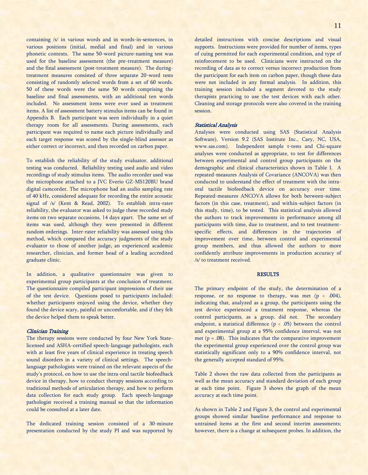containing /s/ in various words and in words-in-sentences, in various positions (initial, medial and final) and in various phonetic contexts. The same 50-word picture-naming test was used for the baseline assessment (the pre-treatment measure) and the final assessment (post-treatment measure). The duringtreatment measures consisted of three separate 20-word tests consisting of randomly selected words from a set of 60 words. 50 of these words were the same 50 words comprising the baseline and final assessments, with an additional ten words included. No assessment items were ever used as treatment items. A list of assessment battery stimulus items can be found in Appendix B. Each participant was seen individually in a quiet therapy room for all assessments. During assessments, each participant was required to name each picture individually and each target response was scored by the single-blind assessor as either correct or incorrect, and then recorded on carbon paper.

To establish the reliability of the study evaluator, additional testing was conducted. Reliability testing used audio and video recordings of study stimulus items. The audio recorder used was the microphone attached to a JVC Everio GZ-MS120BU brand digital camcorder. The microphone had an audio sampling rate of 40 kHz, considered adequate for recording the entire acoustic signal of /s/ (Kent & Read, 2002). To establish intra-rater reliability, the evaluator was asked to judge these recorded study items on two separate occasions, 14 days apart. The same set of items was used, although they were presented in different random orderings. Inter-rater reliability was assessed using this method, which compared the accuracy judgments of the study evaluator to those of another judge, an experienced academic researcher, clinician, and former head of a leading accredited graduate clinic.

In addition, a qualitative questionnaire was given to experimental group participants at the conclusion of treatment. The questionnaire compiled participant impressions of their use of the test device. Questions posed to participants included: whether participants enjoyed using the device, whether they found the device scary, painful or uncomfortable, and if they felt the device helped them to speak better.

#### Clinician Training

The therapy sessions were conducted by four New York Statelicensed and ASHA-certified speech-language pathologists, each with at least five years of clinical experience in treating speech sound disorders in a variety of clinical settings. The speechlanguage pathologists were trained on the relevant aspects of the study's protocol, on how to use the intra-oral tactile biofeedback device in therapy, how to conduct therapy sessions according to traditional methods of articulation therapy, and how to perform data collection for each study group. Each speech-language pathologist received a training manual so that the information could be consulted at a later date.

The dedicated training session consisted of a 30-minute presentation conducted by the study PI and was supported by 11

supports. Instructions were provided for number of items, types of cuing permitted for each experimental condition, and type of reinforcement to be used. Clinicians were instructed on the recording of data as to correct versus incorrect production from the participant for each item on carbon paper, though these data were not included in any formal analysis. In addition, this training session included a segment devoted to the study therapists practicing to use the test devices with each other. Cleaning and storage protocols were also covered in the training session.

#### Statistical Analysis

Analyses were conducted using SAS (Statistical Analysis Software), Version 9.2 (SAS Institute Inc., Cary, NC, USA, www.sas.com). Independent sample t-tests and Chi-square analyses were conducted as appropriate, to test for differences between experimental and control group participants on the demographic and clinical characteristics shown in Table I. A repeated-measures Analysis of Covariance (ANCOVA) was then conducted to understand the effect of treatment with the intraoral tactile biofeedback device on accuracy over time. Repeated-measures ANCOVA allows for both between-subject factors (in this case, treatment), and within-subject factors (in this study, time), to be tested. This statistical analysis allowed the authors to track improvements in performance among all participants with time, due to treatment, and to test treatmentspecific effects, and differences in the trajectories of improvement over time, between control and experimental group members, and thus allowed the authors to more confidently attribute improvements in production accuracy of /s/ to treatment received.

### **RESULTS**

The primary endpoint of the study, the determination of a response, or no response to therapy, was met  $(p < .004)$ , indicating that, analyzed as a group, the participants using the test device experienced a treatment response, whereas the control participants, as a group, did not. The secondary endpoint, a statistical difference  $(p < .05)$  between the control and experimental group at a 95% confidence interval, was not met  $(p = .08)$ . This indicates that the comparative improvement the experimental group experienced over the control group was statistically significant only to a 90% confidence interval, not the generally accepted standard of 95%.

Table 2 shows the raw data collected from the participants as well as the mean accuracy and standard deviation of each group at each time point. Figure 3 shows the graph of the mean accuracy at each time point.

As shown in Table 2 and Figure 3, the control and experimental groups showed similar baseline performance and response to untrained items at the first and second interim assessments; however, there is a change at subsequent probes. In addition, the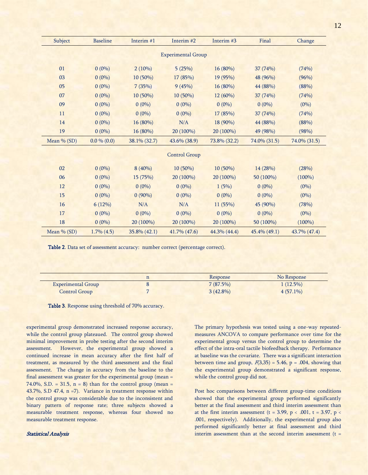| Subject        | <b>Baseline</b> | Interim #1   | Interim #2                | Interim #3   | Final        | Change       |
|----------------|-----------------|--------------|---------------------------|--------------|--------------|--------------|
|                |                 |              | <b>Experimental Group</b> |              |              |              |
| 01             | $0(0\%)$        | 2(10%)       | 5(25%)                    | 16 (80%)     | 37 (74%)     | (74%)        |
| 03             | $0(0\%)$        | 10 (50%)     | 17 (85%)                  | 19 (95%)     | 48 (96%)     | (96%)        |
| 0 <sub>5</sub> | $0(0\%)$        | 7(35%)       | 9(45%)                    | 16 (80%)     | 44 (88%)     | (88%)        |
| 07             | $0(0\%)$        | 10 (50%)     | 10 (50%)                  | 12 (60%)     | 37 (74%)     | (74%)        |
| 09             | $0(0\%)$        | $0(0\%)$     | $0(0\%)$                  | $0(0\%)$     | $0(0\%)$     | $(0\%)$      |
| 11             | $0(0\%)$        | $0(0\%)$     | $0(0\%)$                  | 17 (85%)     | 37 (74%)     | (74%)        |
| 14             | $0(0\%)$        | 16 (80%)     | N/A                       | 18 (90%)     | 44 (88%)     | (88%)        |
| 19             | $0(0\%)$        | 16 (80%)     | 20 (100%)                 | 20 (100%)    | 49 (98%)     | (98%)        |
| Mean % (SD)    | $0.0\% (0.0)$   | 38.1% (32.7) | 43.6% (38.9)              | 73.8% (32.2) | 74.0% (31.5) | 74.0% (31.5) |
|                |                 |              |                           |              |              |              |
|                |                 |              | <b>Control Group</b>      |              |              |              |
| 02             | $0(0\%)$        | 8 (40%)      | 10 (50%)                  | $10(50\%)$   | 14 (28%)     | (28%)        |
| 06             | $0(0\%)$        | 15 (75%)     | 20 (100%)                 | 20 (100%)    | 50 (100%)    | $(100\%)$    |
| 12             | $0(0\%)$        | $0(0\%)$     | $0(0\%)$                  | 1(5%)        | $0(0\%)$     | $(0\%)$      |
| 15             | $0(0\%)$        | $0(90\%)$    | $0(0\%)$                  | $0(0\%)$     | $0(0\%)$     | $(0\%)$      |
| 16             | 6(12%)          | N/A          | N/A                       | 11 (55%)     | 45 (90%)     | (78%)        |
| 17             | $0(0\%)$        | $0(0\%)$     | $0(0\%)$                  | $0(0\%)$     | $0(0\%)$     | $(0\%)$      |
| 18             | $0(0\%)$        | 20 (100%)    | 20 (100%)                 | 20 (100%)    | 50 (100%)    | $(100\%)$    |
| Mean % (SD)    | $1.7\%$ (4.5)   | 35.8% (42.1) | 41.7% (47.6)              | 44.3% (44.4) | 45.4% (49.1) | 43.7% (47.4) |

Table 2. Data set of assessment accuracy: number correct (percentage correct).

|                           |   | Response    | No Response |
|---------------------------|---|-------------|-------------|
| <b>Experimental Group</b> |   | 7(87.5%)    | $1(12.5\%)$ |
| Control Group             | - | $3(42.8\%)$ | $4(57.1\%)$ |

Table 3. Response using threshold of 70% accuracy.

experimental group demonstrated increased response accuracy, while the control group plateaued. The control group showed minimal improvement in probe testing after the second interim assessment. However, the experimental group showed a continued increase in mean accuracy after the first half of treatment, as measured by the third assessment and the final assessment. The change in accuracy from the baseline to the final assessment was greater for the experimental group (mean = 74.0%, S.D. = 31.5,  $n = 8$ ) than for the control group (mean = 43.7%, S.D 47.4, n =7). Variance in treatment response within the control group was considerable due to the inconsistent and binary pattern of response rate; three subjects showed a measurable treatment response, whereas four showed no measurable treatment response.

## Statistical Analysis

The primary hypothesis was tested using a one-way repeatedmeasures ANCOVA to compare performance over time for the experimental group versus the control group to determine the effect of the intra-oral tactile biofeedback therapy. Performance at baseline was the covariate. There was a significant interaction between time and group,  $F(3,35) = 5.46$ ,  $p = .004$ , showing that the experimental group demonstrated a significant response, while the control group did not.

Post hoc comparisons between different group-time conditions showed that the experimental group performed significantly better at the final assessment and third interim assessment than at the first interim assessment (t = 3.99, p < .001, t = 3.97, p < .001, respectively). Additionally, the experimental group also performed significantly better at final assessment and third interim assessment than at the second interim assessment  $(t =$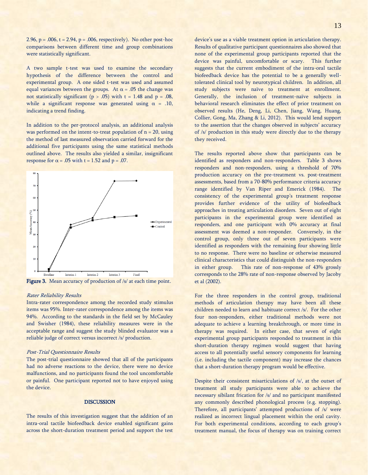2.96,  $p = .006$ ,  $t = 2.94$ ,  $p = .006$ , respectively). No other post-hoc comparisons between different time and group combinations were statistically significant.

A two sample t-test was used to examine the secondary hypothesis of the difference between the control and experimental group. A one sided t-test was used and assumed equal variances between the groups. At  $\alpha$  = .05 the change was not statistically significant ( $p > .05$ ) with  $t = 1.48$  and  $p = .08$ , while a significant response was generated using  $\alpha = .10$ , indicating a trend finding.

In addition to the per-protocol analysis, an additional analysis was performed on the intent-to-treat population of  $n = 20$ , using the method of last measured observation carried forward for the additional five participants using the same statistical methods outlined above. The results also yielded a similar, insignificant response for  $\alpha$  = .05 with t = 1.52 and p = .07.



Figure 3. Mean accuracy of production of /s/ at each time point.

#### Rater Reliability Results

Intra-rater correspondence among the recorded study stimulus items was 95%. Inter-rater correspondence among the items was 94%. According to the standards in the field set by McCauley and Swisher (1984), these reliability measures were in the acceptable range and suggest the study blinded evaluator was a reliable judge of correct versus incorrect /s/ production.

## Post-Trial Questionnaire Results

The post-trial questionnaire showed that all of the participants had no adverse reactions to the device, there were no device malfunctions, and no participants found the tool uncomfortable or painful. One participant reported not to have enjoyed using the device.

## **DISCUSSION**

The results of this investigation suggest that the addition of an intra-oral tactile biofeedback device enabled significant gains across the short-duration treatment period and support the test device's use as a viable treatment option in articulation therapy. Results of qualitative participant questionnaires also showed that none of the experimental group participants reported that the device was painful, uncomfortable or scary. This further suggests that the current embodiment of the intra-oral tactile biofeedback device has the potential to be a generally welltolerated clinical tool by neurotypical children. In addition, all study subjects were naïve to treatment at enrollment. Generally, the inclusion of treatment-naïve subjects in behavioral research eliminates the effect of prior treatment on observed results (He, Deng, Li, Chen, Jiang, Wang, Huang, Collier, Gong, Ma, Zhang & Li, 2012). This would lend support to the assertion that the changes observed in subjects' accuracy of /s/ production in this study were directly due to the therapy they received.

The results reported above show that participants can be identified as responders and non-responders. Table 3 shows responders and non-responders, using a threshold of 70% production accuracy on the pre-treatment vs. post-treatment assessments, based from a 70-80% performance criteria accuracy range identified by Van Riper and Emerick (1984). The consistency of the experimental group's treatment response provides further evidence of the utility of biofeedback approaches in treating articulation disorders. Seven out of eight participants in the experimental group were identified as responders, and one participant with 0% accuracy at final assessment was deemed a non-responder. Conversely, in the control group, only three out of seven participants were identified as responders with the remaining four showing little to no response. There were no baseline or otherwise measured clinical characteristics that could distinguish the non-responders in either group. This rate of non-response of 43% grossly corresponds to the 28% rate of non-response observed by Jacoby et al (2002).

For the three responders in the control group, traditional methods of articulation therapy may have been all these children needed to learn and habituate correct /s/. For the other four non-responders, either traditional methods were not adequate to achieve a learning breakthrough, or more time in therapy was required. In either case, that seven of eight experimental group participants responded to treatment in this short-duration therapy regimen would suggest that having access to all potentially useful sensory components for learning (i.e. including the tactile component) may increase the chances that a short-duration therapy program would be effective.

Despite their consistent misarticulations of /s/, at the outset of treatment all study participants were able to achieve the necessary sibilant frication for /s/ and no participant manifested any commonly described phonological process (e.g. stopping). Therefore, all participants' attempted productions of /s/ were realized as incorrect lingual placement within the oral cavity. For both experimental conditions, according to each group's treatment manual, the focus of therapy was on training correct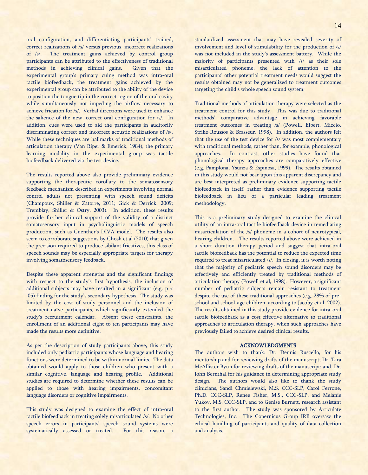oral configuration, and differentiating participants' trained, correct realizations of /s/ versus previous, incorrect realizations of /s/. The treatment gains achieved by control group participants can be attributed to the effectiveness of traditional methods in achieving clinical gains. Given that the experimental group's primary cuing method was intra-oral tactile biofeedback, the treatment gains achieved by the experimental group can be attributed to the ability of the device to position the tongue tip in the correct region of the oral cavity while simultaneously not impeding the airflow necessary to achieve frication for /s/. Verbal directions were used to enhance the salience of the new, correct oral configuration for /s/. In addition, cues were used to aid the participants in auditorily discriminating correct and incorrect acoustic realizations of /s/. While these techniques are hallmarks of traditional methods of articulation therapy (Van Riper & Emerick, 1984), the primary learning modality in the experimental group was tactile biofeedback delivered via the test device.

The results reported above also provide preliminary evidence supporting the therapeutic corollary to the somatosensory feedback mechanism described in experiments involving normal control adults not presenting with speech sound deficits (Champoux, Shiller & Zatorre, 2011; Gick & Derrick, 2009; Tremblay, Shiller & Ostry, 2003). In addition, these results provide further clinical support of the validity of a distinct somatosensory input in psycholinguistic models of speech production, such as Guenther's DIVA model. The results also seem to corroborate suggestions by Ghosh et al (2010) that given the precision required to produce sibilant fricatives, this class of speech sounds may be especially appropriate targets for therapy involving somatosensory feedback.

Despite these apparent strengths and the significant findings with respect to the study's first hypothesis, the inclusion of additional subjects may have resulted in a significant (e.g.  $p <$ .05) finding for the study's secondary hypothesis. The study was limited by the cost of study personnel and the inclusion of treatment-naïve participants, which significantly extended the study's recruitment calendar. Absent these constraints, the enrollment of an additional eight to ten participants may have made the results more definitive.

As per the description of study participants above, this study included only pediatric participants whose language and hearing functions were determined to be within normal limits. The data obtained would apply to those children who present with a similar cognitive, language and hearing profile. Additional studies are required to determine whether these results can be applied to those with hearing impairments, concomitant language disorders or cognitive impairments.

This study was designed to examine the effect of intra-oral tactile biofeedback in treating solely misarticulated /s/. No other speech errors in participants' speech sound systems were systematically assessed or treated. For this reason, a standardized assessment that may have revealed severity of involvement and level of stimulability for the production of /s/ was not included in the study's assessment battery. While the majority of participants presented with /s/ as their sole misarticulated phoneme, the lack of attention to the participants' other potential treatment needs would suggest the results obtained may not be generalized to treatment outcomes targeting the child's whole speech sound system.

Traditional methods of articulation therapy were selected as the treatment control for this study. This was due to traditional methods' comparative advantage in achieving favorable treatment outcomes in treating /s/ (Powell, Elbert, Miccio, Strike-Roussos & Brasseur, 1998). In addition, the authors felt that the use of the test device for /s/ was most complementary with traditional methods, rather than, for example, phonological approaches. In contrast, other studies have found that phonological therapy approaches are comparatively effective (e.g. Pamplona, Ysunza & Espinosa, 1999). The results obtained in this study would not bear upon this apparent discrepancy and are best interpreted as preliminary evidence supporting tactile biofeedback in itself, rather than evidence supporting tactile biofeedback in lieu of a particular leading treatment methodology.

This is a preliminary study designed to examine the clinical utility of an intra-oral tactile biofeedback device in remediating misarticulation of the /s/ phoneme in a cohort of neurotypical, hearing children. The results reported above were achieved in a short duration therapy period and suggest that intra-oral tactile biofeedback has the potential to reduce the expected time required to treat misarticulated /s/. In closing, it is worth noting that the majority of pediatric speech sound disorders may be effectively and efficiently treated by traditional methods of articulation therapy (Powell et al, 1998). However, a significant number of pediatric subjects remain resistant to treatment despite the use of these traditional approaches (e.g. 28% of preschool and school-age children, according to Jacoby et al, 2002). The results obtained in this study provide evidence for intra-oral tactile biofeedback as a cost-effective alternative to traditional approaches to articulation therapy, when such approaches have previously failed to achieve desired clinical results.

#### ACKNOWLEDGMENTS

The authors wish to thank: Dr. Dennis Ruscello, for his mentorship and for reviewing drafts of the manuscript; Dr. Tara McAllister Byun for reviewing drafts of the manuscript; and, Dr. John Bernthal for his guidance in determining appropriate study design. The authors would also like to thank the study clinicians, Sandi Chmielewski, M.S. CCC-SLP, Carol Ferrone, Ph.D. CCC-SLP, Renee Fisher, M.S., CCC-SLP, and Melanie Yukov, M.S. CCC-SLP, and to Genise Burnett, research assistant to the first author. The study was sponsored by Articulate Technologies, Inc. The Copernicus Group IRB oversaw the ethical handling of participants and quality of data collection and analysis.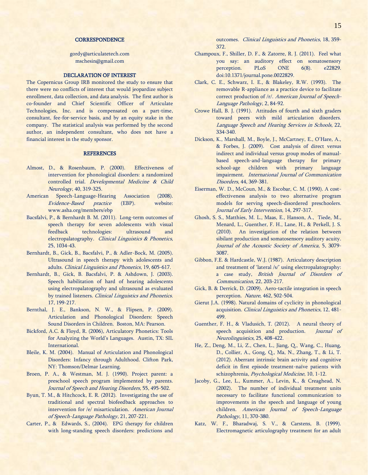## **CORRESPONDENCE**

[gordy@articulatetech.com](mailto:gordy@articulatetech.com) mschesin@gmail.com

## DECLARATION OF INTEREST

The Copernicus Group IRB monitored the study to ensure that there were no conflicts of interest that would jeopardize subject enrollment, data collection, and data analysis. The first author is co-founder and Chief Scientific Officer of Articulate Technologies, Inc. and is compensated on a part-time, consultant, fee-for-service basis, and by an equity stake in the company. The statistical analysis was performed by the second author, an independent consultant, who does not have a financial interest in the study sponsor.

## **REFERENCES**

- Almost, D., & Rosenbaum, P. (2000). Effectiveness of intervention for phonological disorders: a randomized controlled trial. Developmental Medicine & Child Neurology, 40, 319-325.
- American Speech-Language-Hearing Association (2008). Evidence-Based practice (EBP). website: www.asha.org/members/ebp
- Bacsfalvi, P., & Bernhardt B. M. (2011). Long-term outcomes of speech therapy for seven adolescents with visual feedback technologies: ultrasound and electropalatography. Clinical Linguistics & Phonetics, 25, 1034-43.
- Bernhardt, B., Gick, B., Bacsfalvi, P., & Adler-Bock, M. (2005). Ultrasound in speech therapy with adolescents and adults. Clinical Linguistics and Phonetics, 19, 605-617.
- Bernhardt, B., Gick, B. Bacsfalvi, P. & Ashdown, J. (2003). Speech habilitation of hard of hearing adolescents using electropalatography and ultrasound as evaluated by trained listeners. Clinical Linguistics and Phonetics. 17, 199-217.
- Bernthal, J. E., Bankson, N. W., & Flipsen, P. (2009). Articulation and Phonological Disorders: Speech Sound Disorders in Children. Boston, MA: Pearson.
- Bickford, A.C. & Floyd, R. (2006), Articulatory Phonetics: Tools for Analyzing the World's Languages. Austin, TX: SIL International.
- Bleile, K. M. (2004). Manual of Articulation and Phonological Disorders: Infancy through Adulthood. Clifton Park, NY: Thomson/Delmar Learning.
- Broen, P. A., & Westman, M. J. (1990). Project parent: a preschool speech program implemented by parents. Journal of Speech and Hearing Disorders, 55, 495-502.
- Byun, T. M., & Hitchcock, E. R. (2012). Investigating the use of traditional and spectral biofeedback approaches to intervention for /e/ misarticulation. American Journal of Speech-Language Pathology, 21, 207-221.
- Carter, P., & Edwards, S., (2004). EPG therapy for children with long-standing speech disorders: predictions and

outcomes. Clinical Linguistics and Phonetics, 18, 359- 372.

- Champoux, F., Shiller, D. F., & Zatorre, R. J. (2011). Feel what you say: an auditory effect on somatosensory perception. PLoS ONE 6(8). e22829. doi:10.1371/journal.pone.0022829.
- Clark, C. E., Schwarz, I. E., & Blakeley, R.W. (1993). The removable R-appliance as a practice device to facilitate correct production of /r/. American Journal of Speech-Language Pathology, 2, 84-92.
- Crowe Hall, B. J. (1991). Attitudes of fourth and sixth graders toward peers with mild articulation disorders. Language Speech and Hearing Services in Schools, 22, 334-340.
- Dickson, K., Marshall, M., Boyle, J., McCartney, E., O'Hare, A., & Forbes, J. (2009). Cost analysis of direct versus indirect and individual versus group modes of manualbased speech-and-language therapy for primary school-age children with primary language impairment. International Journal of Communication Disorders, 44, 369-381.
- Eiserman, W. D., McCoun, M., & Escobar, C. M. (1990). A costeffectiveness analysis to two alternative program models for serving speech-disordered preschoolers. Journal of Early Intervention, 14, 297-317.
- Ghosh, S. S., Matthies, M. L., Maas, E., Hanson, A., Tiede, M., Menard, L., Guenther, F. H., Lane, H., & Perkell, J. S. (2010). An investigation of the relation between sibilant production and somatosensory auditory acuity. Journal of the Acoustic Society of America, 5, 3079- 3087.
- Gibbon, F.E. & Hardcastle, W.J. (1987). Articulatory description and treatment of 'lateral /s/' using electropalatography: a case study, British Journal of Disorders of Communication, 22, 203-217.
- Gick, B. & Derrick, D. (2009). Aero-tactile integration in speech perception. Nature, 462, 502-504.
- Gierut J.A. (1998). Natural domains of cyclicity in phonological acquisition. Clinical Linguistics and Phonetics, 12, 481- 499.
- Guenther, F. H., & Vladusich, T. (2012). A neural theory of speech acquisition and production. *Journal of* Neurolinguistics, 25, 408-422.
- He, Z., Deng, M., Li, Z., Chen, L., Jiang, Q., Wang, C., Huang, D., Collier, A., Gong, Q., Ma, N., Zhang, T., & Li, T. (2012). Aberrant intrinsic brain activity and cognitive deficit in first episode treatment-naïve patients with schizophrenia, Psychological Medicine, 10, 1-12.
- Jacoby, G., Lee, L., Kummer, A., Levin, K., & Creaghead, N. (2002). The number of individual treatment units necessary to facilitate functional communication to improvements in the speech and language of young children. American Journal of Speech-Language Pathology, 11, 370-380.
- Katz, W. F., Bharadwaj, S. V., & Carstens, B. (1999). Electromagnetic articulography treatment for an adult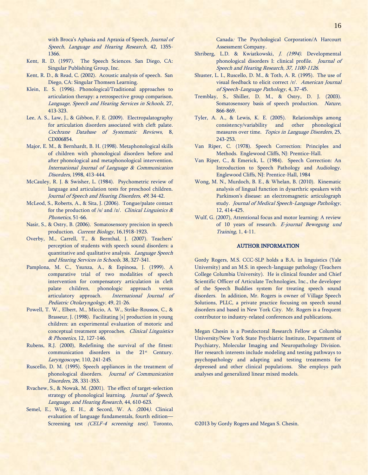with Broca's Aphasia and Apraxia of Speech, Journal of Speech, Language and Hearing Research, 42, 1355- 1366.

- Kent, R. D. (1997). The Speech Sciences. San Diego, CA: Singular Publishing Group, Inc.
- Kent, R. D., & Read, C. (2002). Acoustic analysis of speech. San Diego, CA: Singular Thomsen Learning.
- Klein, E. S. (1996). Phonological/Traditional approaches to articulation therapy: a retrospective group comparison. Language, Speech and Hearing Services in Schools, 27, 413-323.
- Lee, A. S., Law, J., & Gibbon, F. E. (2009). Electropalatography for articulation disorders associated with cleft palate. Cochrane Database of Systematic Reviews, 8, CD006854.
- Major, E. M., & Bernhardt, B. H. (1998). Metaphonological skills of children with phonological disorders before and after phonological and metaphonological intervention. International Journal of Language & Communication Disorders, 1998, 413-444.
- McCauley, R. J. & Swisher, L. (1984). Psychometric review of language and articulation tests for preschool children. Journal of Speech and Hearing Disorders, 49, 34-42.
- McLeod, S., Roberts, A., & Sita, J. (2006). Tongue/palate contact for the production of /s/ and /z/. *Clinical Linguistics*  $\&$ Phonetics, 51-66.
- Nasir, S., & Ostry, B. (2006). Somatosensory precision in speech production. Current Biology, 16,1918-1923.
- Overby, M., Carrell, T., & Bernthal, J. (2007). Teachers' perception of students with speech sound disorders: a quantitative and qualitative analysis. Language Speech and Hearing Services in Schools, 38, 327-341.
- Pamplona, M. C., Ysunza, A., & Espinosa, J. (1999). A comparative trial of two modalities of speech intervention for compensatory articulation in cleft palate children, phonologic approach versus articulatory approach. International Journal of Pediatric Otolaryngology, 49, 21-26.
- Powell, T. W., Elbert, M., Miccio, A. W., Strike-Roussos, C., & Brasseur, J. (1998). Facilitating [s] production in young children: an experimental evaluation of motoric and conceptual treatment approaches. Clinical Linguistics & Phonetics, 12, 127-146.
- Rubens, R.J. (2000), Redefining the survival of the fittest: communication disorders in the 21<sup>st</sup> Century. Laryngoscope, 110, 241-245.
- Ruscello, D. M. (1995). Speech appliances in the treatment of phonological disorders. Journal of Communication Disorders, 28, 331-353.
- Rvachew, S., & Nowak, M. (2001). The effect of target-selection strategy of phonological learning. Journal of Speech, Language, and Hearing Research, 44, 610-623.
- Semel, E., Wiig, E. H., & Secord, W. A. (2004). Clinical evaluation of language fundamentals, fourth edition— Screening test (CELF-4 screening test). Toronto,

Canada: The Psychological Corporation/A Harcourt Assessment Company.

- Shriberg, L.D. & Kwiatkowski, J. (1994). Developmental phonological disorders I: clinical profile. Journal of Speech and Hearing Research, 37, 1100-1126.
- Shuster, L. I., Ruscello, D. M., & Toth, A. R. (1995). The use of visual feedback to elicit correct /r/. American Journal of Speech-Language Pathology, 4, 37-45.
- Tremblay, S., Shiller, D. M., & Ostry, D. J. (2003). Somatosensory basis of speech production. Nature, 866-869.
- Tyler, A. A., & Lewis, K. E. (2005). Relationships among consistency/variability and other phonological measures over time. Topics in Language Disorders, 25, 243-253.
- Van Riper, C. (1978). Speech Correction: Principles and Methods. Englewood Cliffs, NJ: Prentice-Hall.
- Van Riper, C., & Emerick, L. (1984). Speech Correction: An Introduction to Speech Pathology and Audiology. Englewood Cliffs, NJ: Prentice-Hall, 1984
- Wong, M. N., Murdoch, B. E., & Whelan, B. (2010). Kinematic analysis of lingual function in dysarthric speakers with Parkinson's disease: an electromagnetic articulograph study. Journal of Medical Speech-Language Pathology, 12, 414-425.
- Wulf, G. (2007), Attentional focus and motor learning: A review of 10 years of research. E-journal Bewegung und Training, 1, 4-11.

## AUTHOR INFORMATION

Gordy Rogers, M.S. CCC-SLP holds a B.A. in linguistics (Yale University) and an M.S. in speech-language pathology (Teachers College Columbia University). He is clinical founder and Chief Scientific Officer of Articulate Technologies, Inc., the developer of the Speech Buddies system for treating speech sound disorders. In addition, Mr. Rogers is owner of Village Speech Solutions, PLLC, a private practice focusing on speech sound disorders and based in New York City. Mr. Rogers is a frequent contributor to industry-related conferences and publications.

Megan Chesin is a Postdoctoral Research Fellow at Columbia University/New York State Psychiatric Institute, Department of Psychiatry, Molecular Imaging and Neuropathology Division. Her research interests include modeling and testing pathways to psychopathology and adapting and testing treatments for depressed and other clinical populations. She employs path analyses and generalized linear mixed models.

©2013 by Gordy Rogers and Megan S. Chesin.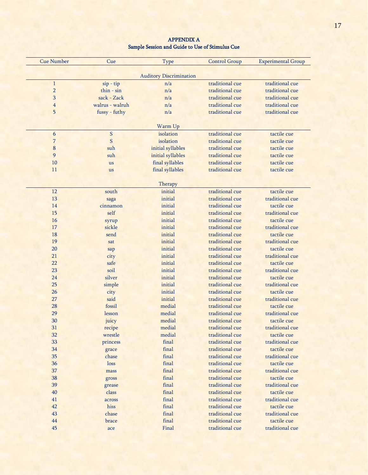| <b>Cue Number</b> | Cue             | Type                           | <b>Control Group</b>               | <b>Experimental Group</b> |
|-------------------|-----------------|--------------------------------|------------------------------------|---------------------------|
|                   |                 |                                |                                    |                           |
|                   |                 | <b>Auditory Discrimination</b> |                                    |                           |
|                   | $sip - tip$     | n/a                            | traditional cue                    | traditional cue           |
| $\overline{2}$    | $thin - sin$    | n/a                            | traditional cue                    | traditional cue           |
| $\mathbf{3}$      | sack - Zack     | n/a                            | traditional cue                    | traditional cue           |
| $\overline{4}$    | walrus - walruh | n/a                            | traditional cue                    | traditional cue           |
| 5                 | fussy - futhy   | n/a                            | traditional cue                    | traditional cue           |
|                   |                 | Warm Up                        |                                    |                           |
| 6                 | ${\mathbf S}$   | isolation                      | traditional cue                    | tactile cue               |
| 7                 | S               | isolation                      | traditional cue                    | tactile cue               |
| 8                 | suh             | initial syllables              | traditional cue                    | tactile cue               |
| 9                 | suh             | initial syllables              | traditional cue                    | tactile cue               |
| $10\,$            | <b>us</b>       | final syllables                | traditional cue                    | tactile cue               |
| 11                | <b>us</b>       | final syllables                | traditional cue                    | tactile cue               |
|                   |                 |                                |                                    |                           |
|                   |                 | Therapy                        |                                    |                           |
| 12                | south           | initial                        | traditional cue                    | tactile cue               |
| 13                | saga            | initial                        | traditional cue                    | traditional cue           |
| 14                | cinnamon        | initial                        | traditional cue                    | tactile cue               |
| $15\,$            | self            | initial                        | traditional cue                    | traditional cue           |
| 16                | syrup           | initial                        | traditional cue                    | tactile cue               |
| 17                | sickle          | initial                        | traditional cue                    | traditional cue           |
| $18\,$            | send            | initial                        | traditional cue                    | tactile cue               |
| 19                | sat             | initial                        | traditional cue                    | traditional cue           |
| $20\,$            | sap             | initial                        | traditional cue                    | tactile cue               |
| 21                | city            | initial                        | traditional cue                    | traditional cue           |
| 22                | safe            | initial                        | traditional cue                    | tactile cue               |
| $23\,$            | soil            | initial                        | traditional cue                    | traditional cue           |
| 24                | silver          | initial                        | traditional cue                    | tactile cue               |
| <b>25</b>         | simple          | initial                        | traditional cue                    | traditional cue           |
| $26\phantom{.}$   | city            | initial                        | traditional cue                    | tactile cue               |
| $27\,$            | said            | initial                        | traditional cue                    | traditional cue           |
| ${\bf 28}$        | fossil          | medial                         | traditional cue                    | tactile cue               |
| 29                | lesson          | medial                         | traditional cue                    | traditional cue           |
| $30\,$            | juicy           | medial                         | traditional cue                    | tactile cue               |
| 31                | recipe          | medial                         | $\mbox{traditional}$ cue           | traditional cue           |
| $32\,$            | wrestle         | medial                         | traditional cue                    | tactile cue               |
| 33                | princess        | final                          | traditional cue                    | traditional cue           |
| $34\,$            |                 | final                          | traditional cue                    | tactile cue               |
| $35\,$            | grace<br>chase  | final                          | traditional cue                    | traditional cue           |
| $36\,$            |                 | final                          | traditional cue                    | tactile cue               |
|                   | loss            |                                |                                    | traditional cue           |
| 37                | mass            | final<br>final                 | traditional cue<br>traditional cue | tactile cue               |
| $38\,$            | gross           |                                |                                    |                           |
| 39                | grease          | final                          | traditional cue                    | traditional cue           |
| $40\,$            | class           | final                          | traditional cue                    | tactile cue               |
| $41\,$            | across          | final                          | traditional cue                    | traditional cue           |
| 42                | hiss            | final                          | traditional cue                    | tactile cue               |
| $43\,$            | chase           | final                          | traditional cue                    | traditional cue           |
| $44\,$            | brace           | final                          | traditional cue                    | tactile cue               |
| 45                | ace             | Final                          | traditional cue                    | traditional cue           |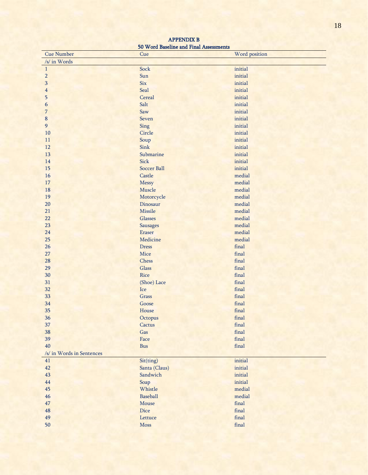| <b>Cue Number</b>         | 20 TT 01G DGOCILILO GANA A ANGA A ADDODISALAMO<br>Cue | Word position          |
|---------------------------|-------------------------------------------------------|------------------------|
| /s/ in Words              |                                                       |                        |
| $\mathbf{1}$              | Sock                                                  | initial                |
| $\overline{2}$            | Sun                                                   | initial                |
| 3                         | <b>Six</b>                                            | initial                |
| 4                         | Seal                                                  | initial                |
| 5                         | Cereal                                                | initial                |
| 6                         | Salt                                                  | initial                |
| 7                         | Saw                                                   | initial                |
| $\bf 8$                   | Seven                                                 | initial                |
| 9                         | Sing                                                  | initial                |
| 10                        | Circle                                                | initial                |
| $11\,$                    | Soup                                                  | initial                |
| 12                        | Sink                                                  | initial                |
| 13                        | Submarine                                             | initial                |
| 14                        | Sick                                                  | initial                |
| 15                        | <b>Soccer Ball</b>                                    | initial                |
| 16                        | Castle                                                | medial                 |
| $17\,$                    | Messy                                                 | medial                 |
| 18                        | Muscle                                                | medial                 |
| 19                        | Motorcycle                                            | medial                 |
| 20                        | Dinosaur                                              | medial                 |
| 21                        | Missile                                               | medial                 |
| 22                        | Glasses                                               | medial                 |
| 23                        | <b>Sausages</b>                                       | medial                 |
| 24                        | Eraser                                                | medial                 |
| 25                        | Medicine                                              | medial                 |
| 26                        | <b>Dress</b>                                          | final                  |
| 27                        | Mice                                                  | final                  |
| 28                        | Chess                                                 | final                  |
| 29                        | Glass                                                 | final                  |
| 30                        | Rice                                                  | final                  |
| 31                        | (Shoe) Lace                                           | final                  |
| 32                        | Ice                                                   | final                  |
| 33                        | Grass                                                 | final                  |
| 34                        | Goose                                                 | final                  |
| 35                        | House                                                 | final                  |
| 36                        | Octopus                                               | final                  |
| 37                        | Cactus                                                | final                  |
| 38                        | Gas                                                   | $\operatorname{final}$ |
| 39                        | Face                                                  | final                  |
| 40                        | <b>Bus</b>                                            | final                  |
| /s/ in Words in Sentences |                                                       |                        |
| 41                        | Sit(ting)                                             | initial                |
| 42                        | Santa (Claus)                                         | initial                |
| 43                        | Sandwich                                              | initial                |
| 44                        | Soap                                                  | initial                |
| 45                        | Whistle                                               | medial                 |
| 46                        | Baseball                                              | medial                 |
| 47                        | Mouse                                                 | $\operatorname{final}$ |
| 48                        | Dice                                                  | final                  |
| 49                        | Lettuce                                               | final                  |
|                           |                                                       |                        |
| 50                        | <b>Moss</b>                                           | final                  |

APPENDIX B 50 Word Baseline and Final Assessments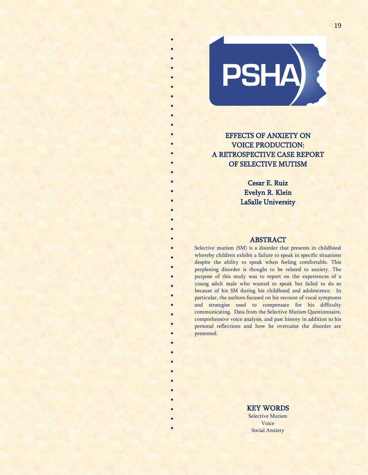

\* \*

\* \* \* \* \* \*

\* \* \* \* \* \* \* \* \* \* \* \* \* \* \* \* \* \* \* \* \* \* \*

\* \* \* \* \*

> \* \* \* \* \* \*

# EFFECTS OF ANXIETY ON VOICE PRODUCTION: A RETROSPECTIVE CASE REPORT OF SELECTIVE MUTISM

Cesar E. Ruiz Evelyn R. Klein LaSalle University

# ABSTRACT

Selective mutism (SM) is a disorder that presents in childhood whereby children exhibit a failure to speak in specific situations despite the ability to speak when feeling comfortable. This perplexing disorder is thought to be related to anxiety. The purpose of this study was to report on the experiences of a young adult male who wanted to speak but failed to do so because of his SM during his childhood and adolescence. In particular, the authors focused on his recount of vocal symptoms and strategies used to compensate for his difficulty communicating. Data from the Selective Mutism Questionnaire, comprehensive voice analysis, and past history in addition to his personal reflections and how he overcame the disorder are presented.

> KEY WORDS Selective Mutism Voice Social Anxiety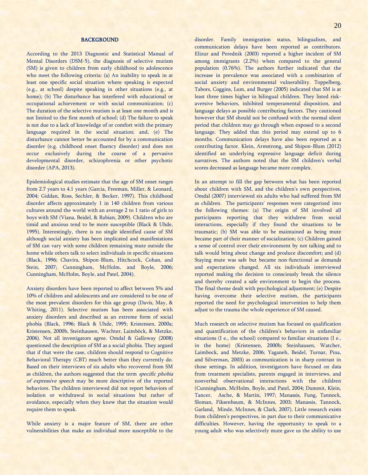## BACKGROUND

According to the 2013 Diagnostic and Statistical Manual of Mental Disorders (DSM-5), the diagnosis of selective mutism (SM) is given to children from early childhood to adolescence who meet the following criteria: (a) An inability to speak in at least one specific social situation where speaking is expected (e.g., at school) despite speaking in other situations (e.g., at home); (b) The disturbance has interfered with educational or occupational achievement or with social communication; (c) The duration of the selective mutism is at least one month and is not limited to the first month of school; (d) The failure to speak is not due to a lack of knowledge of or comfort with the primary language required in the social situation; and, (e) The disturbance cannot better be accounted for by a communication disorder (e.g. childhood onset fluency disorder) and does not occur exclusively during the course of a pervasive developmental disorder, schizophrenia or other psychotic disorder (APA, 2013).

Epidemiological studies estimate that the age of SM onset ranges from 2.7 years to 4.1 years (Garcia, Freeman, Miller, & Leonard, 2004; Giddan, Ross, Sechler, & Becker, 1997). This childhood disorder affects approximately 1 in 140 children from various cultures around the world with an average 2 to 1 ratio of girls to boys with SM (Viana, Beidel, & Rabian, 2009). Children who are timid and anxious tend to be more susceptible (Black & Uhde, 1995). Interestingly, there is no single identified cause of SM although social anxiety has been implicated and manifestations of SM can vary with some children remaining mute outside the home while others talk to select individuals in specific situations (Black, 1996; Chavira, Shipon-Blum, Hitchcock, Cohan, and Stein, 2007; Cunningham, McHolm, and Boyle, 2006; Cunningham, McHolm, Boyle, and Patel, 2004).

Anxiety disorders have been reported to affect between 5% and 10% of children and adolescents and are considered to be one of the most prevalent disorders for this age group (Davis, May, & Whiting, 2011). Selective mutism has been associated with anxiety disorders and described as an extreme form of social phobia (Black, 1996; Black & Uhde, 1995; Kristensen, 2000a; Kristensen, 2000b, Steinhausen, Wachter, Laimböck, & Metzke, 2006). Not all investigators agree. Omdal & Galloway (2008) questioned the description of SM as a social phobia. They argued that if that were the case, children should respond to Cognitive Behavioral Therapy (CBT) much better than they currently do. Based on their interviews of six adults who recovered from SM as children, the authors suggested that the term specific phobia of expressive speech may be more descriptive of the reported behaviors. The children interviewed did not report behaviors of isolation or withdrawal in social situations but rather of avoidance, especially when they knew that the situation would require them to speak.

While anxiety is a major feature of SM, there are other vulnerabilities that make an individual more susceptible to the

disorder. Family immigration status, bilingualism, and communication delays have been reported as contributors. Elizur and Perednik (2003) reported a higher incident of SM among immigrants (2.2%) when compared to the general population (0.76%). The authors further indicated that the increase in prevalence was associated with a combination of social anxiety and environmental vulnerability. Toppelberg, Tabors, Coggins, Lum, and Burger (2005) indicated that SM is at least three times higher in bilingual children. They listed riskaversive behaviors, inhibited temperamental disposition, and language delays as possible contributing factors. They cautioned however that SM should not be confused with the normal silent period that children may go through when exposed to a second language. They added that this period may extend up to 6 months. Communication delays have also been reported as a contributing factor. Klein, Armstrong, and Shipon-Blum (2012) identified an underlying expressive language deficit during narratives. The authors noted that the SM children's verbal scores decreased as language became more complex.

In an attempt to fill the gap between what has been reported about children with SM, and the children's own perspectives, Omdal (2007) interviewed six adults who had suffered from SM as children. The participants' responses were categorized into the following themes: (a) The origin of SM involved all participants reporting that they withdrew from social interactions, especially if they found the situations to be traumatic; (b) SM was able to be maintained as being mute became part of their manner of socialization; (c) Children gained a sense of control over their environment by not talking and to talk would bring about change and produce discomfort; and (d) Staying mute was safe but became non-functional as demands and expectations changed. All six individuals interviewed reported making the decision to consciously break the silence and thereby created a safe environment to begin the process. The final theme dealt with psychological adjustment; (e) Despite having overcome their selective mutism, the participants reported the need for psychological intervention to help them adjust to the trauma the whole experience of SM caused.

Much research on selective mutism has focused on qualification and quantification of the children's behaviors in unfamiliar situations (I e., the school) compared to familiar situations (I e., in the home) (Kristensen, 2000b; Steinhausen, Watcher, Laimbock, and Metzke, 2006; Yaganeh, Beidel, Turnar, Pina, and Silverman, 2003) as communication is in sharp contrast in those settings. In addition, investigators have focused on data from treatment specialists, parents engaged in interviews, and nonverbal observational interactions with the children (Cunningham, McHolm, Boyle, and Patel, 2004; Dummit, Klein, Tancer, Asche, & Martin, 1997; Manassis, Fung, Tannock, Sloman, Fiksenbaum, & McInnes, 2003; Manassis, Tannock, Garland, Minde, McInnes, & Clark, 2007). Little research exists from children's perspectives, in part due to their communicative difficulties. However, having the opportunity to speak to a young adult who was selectively mute gave us the ability to use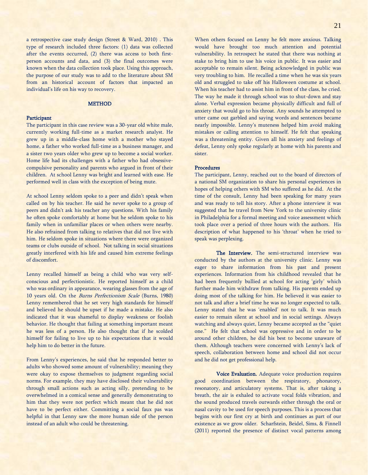a retrospective case study design (Street & Ward, 2010) . This type of research included three factors: (1) data was collected after the events occurred, (2) there was access to both firstperson accounts and data, and (3) the final outcomes were known when the data collection took place. Using this approach, the purpose of our study was to add to the literature about SM from an historical account of factors that impacted an individual's life on his way to recovery.

## **METHOD**

## Participant

The participant in this case review was a 30-year old white male, currently working full-time as a market research analyst. He grew up in a middle-class home with a mother who stayed home, a father who worked full-time as a business manager, and a sister two years older who grew up to become a social worker. Home life had its challenges with a father who had obsessivecompulsive personality and parents who argued in front of their children. At school Lenny was bright and learned with ease. He performed well in class with the exception of being mute.

At school Lenny seldom spoke to a peer and didn't speak when called on by his teacher. He said he never spoke to a group of peers and didn't ask his teacher any questions. With his family he often spoke comfortably at home but he seldom spoke to his family when in unfamiliar places or when others were nearby. He also refrained from talking to relatives that did not live with him. He seldom spoke in situations where there were organized teams or clubs outside of school. Not talking in social situations greatly interfered with his life and caused him extreme feelings of discomfort.

Lenny recalled himself as being a child who was very selfconscious and perfectionistic. He reported himself as a child who was ordinary in appearance, wearing glasses from the age of 10 years old. On the Burns Perfectionism Scale (Burns, 1980) Lenny remembered that he set very high standards for himself and believed he should be upset if he made a mistake. He also indicated that it was shameful to display weakness or foolish behavior. He thought that failing at something important meant he was less of a person. He also thought that if he scolded himself for failing to live up to his expectations that it would help him to do better in the future.

From Lenny's experiences, he said that he responded better to adults who showed some amount of vulnerability; meaning they were okay to expose themselves to judgment regarding social norms. For example, they may have disclosed their vulnerability through small actions such as acting silly, pretending to be overwhelmed in a comical sense and generally demonstrating to him that they were not perfect which meant that he did not have to be perfect either. Committing a social faux pas was helpful in that Lenny saw the more human side of the person instead of an adult who could be threatening.

When others focused on Lenny he felt more anxious. Talking would have brought too much attention and potential vulnerability. In retrospect he stated that there was nothing at stake to bring him to use his voice in public. It was easier and acceptable to remain silent. Being acknowledged in public was very troubling to him. He recalled a time when he was six years old and struggled to take off his Halloween costume at school. When his teacher had to assist him in front of the class, he cried. The way he made it through school was to shut-down and stay alone. Verbal expression became physically difficult and full of anxiety that would go to his throat. Any sounds he attempted to utter came out garbled and saying words and sentences became nearly impossible. Lenny's muteness helped him avoid making mistakes or calling attention to himself. He felt that speaking was a threatening entity. Given all his anxiety and feelings of defeat, Lenny only spoke regularly at home with his parents and sister.

## Procedures

The participant, Lenny, reached out to the board of directors of a national SM organization to share his personal experiences in hopes of helping others with SM who suffered as he did. At the time of the consult, Lenny had been speaking for many years and was ready to tell his story. After a phone interview it was suggested that he travel from New York to the university clinic in Philadelphia for a formal meeting and voice assessment which took place over a period of three hours with the authors. His description of what happened to his 'throat' when he tried to speak was perplexing.

The Interview. The semi-structured interview was conducted by the authors at the university clinic. Lenny was eager to share information from his past and present experiences. Information from his childhood revealed that he had been frequently bullied at school for acting 'girly' which further made him withdraw from talking. His parents ended up doing most of the talking for him. He believed it was easier to not talk and after a brief time he was no longer expected to talk. Lenny stated that he was 'enabled' not to talk. It was much easier to remain silent at school and in social settings. Always watching and always quiet, Lenny became accepted as the "quiet one." He felt that school was oppressive and in order to be around other children, he did his best to become unaware of them. Although teachers were concerned with Lenny's lack of speech, collaboration between home and school did not occur and he did not get professional help.

Voice Evaluation. Adequate voice production requires good coordination between the respiratory, phonatory, resonatory, and articulatory systems. That is, after taking a breath, the air is exhaled to activate vocal folds vibration, and the sound produced travels outwards either through the oral or nasal cavity to be used for speech purposes. This is a process that begins with our first cry at birth and continues as part of our existence as we grow older. Scharfstein, Beidel, Sims, & Finnell (2011) reported the presence of distinct vocal patterns among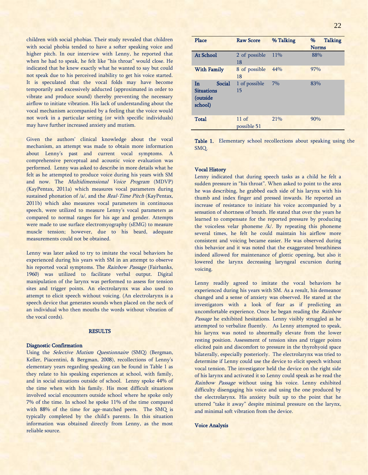children with social phobias. Their study revealed that children with social phobia tended to have a softer speaking voice and higher pitch. In our interview with Lenny, he reported that when he had to speak, he felt like "his throat" would close. He indicated that he knew exactly what he wanted to say but could not speak due to his perceived inability to get his voice started. It is speculated that the vocal folds may have become temporarily and excessively adducted (approximated in order to vibrate and produce sound) thereby preventing the necessary airflow to initiate vibration. His lack of understanding about the vocal mechanism accompanied by a feeling that the voice would not work in a particular setting (or with specific individuals) may have further increased anxiety and mutism.

Given the authors' clinical knowledge about the vocal mechanism, an attempt was made to obtain more information about Lenny's past and current vocal symptoms. A comprehensive perceptual and acoustic voice evaluation was performed. Lenny was asked to describe in more details what he felt as he attempted to produce voice during his years with SM and now. The Multidimensional Voice Program (MDVP) (KayPentax, 2011a) which measures vocal parameters during sustained phonation of /a/, and the *Real-Time Pitch* (KayPentax, 2011b) which also measures vocal parameters in continuous speech, were utilized to measure Lenny's vocal parameters as compared to normal ranges for his age and gender. Attempts were made to use surface electromyography (sEMG) to measure muscle tension; however, due to his beard, adequate measurements could not be obtained.

Lenny was later asked to try to imitate the vocal behaviors he experienced during his years with SM in an attempt to observe his reported vocal symptoms. The Rainbow Passage (Fairbanks, 1960) was utilized to facilitate verbal output. Digital manipulation of the larynx was performed to assess for tension sites and trigger points. An electrolarynx was also used to attempt to elicit speech without voicing. (An electrolarynx is a speech device that generates sounds when placed on the neck of an individual who then mouths the words without vibration of the vocal cords).

## **RESULTS**

#### Diagnostic Confirmation

Using the *Selective Mutism Questionnaire* (SMQ) (Bergman, Keller, Piacentini, & Bergman, 2008), recollections of Lenny's elementary years regarding speaking can be found in Table 1 as they relate to his speaking experiences at school, with family, and in social situations outside of school. Lenny spoke 44% of the time when with his family. His most difficult situations involved social encounters outside school where he spoke only 7% of the time. In school he spoke 11% of the time compared with 88% of the time for age-matched peers. The SMQ is typically completed by the child's parents. In this situation information was obtained directly from Lenny, as the most reliable source.

| Place                                                    | <b>Raw Score</b>       | % Talking | <b>Talking</b><br>% |
|----------------------------------------------------------|------------------------|-----------|---------------------|
|                                                          |                        |           | <b>Norms</b>        |
| <b>At School</b>                                         | 2 of possible<br>18    | 11%       | 88%                 |
| <b>With Family</b>                                       | 8 of possible<br>18    | 44%       | 97%                 |
| In<br>Social<br><b>Situations</b><br>(outside<br>school) | 1 of possible<br>15    | 7%        | 83%                 |
| <b>Total</b>                                             | $11$ of<br>possible 51 | 21%       | 90%                 |

Table 1. Elementary school recollections about speaking using the SMQ.

#### Vocal History

Lenny indicated that during speech tasks as a child he felt a sudden pressure in "his throat". When asked to point to the area he was describing, he grabbed each side of his larynx with his thumb and index finger and pressed inwards. He reported an increase of resistance to initiate his voice accompanied by a sensation of shortness of breath. He stated that over the years he learned to compensate for the reported pressure by producing the voiceless velar phoneme  $/k/$ . By repeating this phoneme several times, he felt he could maintain his airflow more consistent and voicing became easier. He was observed during this behavior and it was noted that the exaggerated breathiness indeed allowed for maintenance of glottic opening, but also it lowered the larynx decreasing laryngeal excursion during voicing.

Lenny readily agreed to imitate the vocal behaviors he experienced during his years with SM. As a result, his demeanor changed and a sense of anxiety was observed. He stared at the investigators with a look of fear as if predicting an uncomfortable experience. Once he began reading the Rainbow Passage he exhibited hesitations. Lenny visibly struggled as he attempted to verbalize fluently. As Lenny attempted to speak, his larynx was noted to abnormally elevate from the lower resting position. Assessment of tension sites and trigger points elicited pain and discomfort to pressure in the thyrohyoid space bilaterally, especially posteriorly. The electrolarynx was tried to determine if Lenny could use the device to elicit speech without vocal tension. The investigator held the device on the right side of his larynx and activated it so Lenny could speak as he read the Rainbow Passage without using his voice. Lenny exhibited difficulty disengaging his voice and using the one produced by the electrolarynx. His anxiety built up to the point that he uttered "take it away" despite minimal pressure on the larynx, and minimal soft vibration from the device.

## Voice Analysis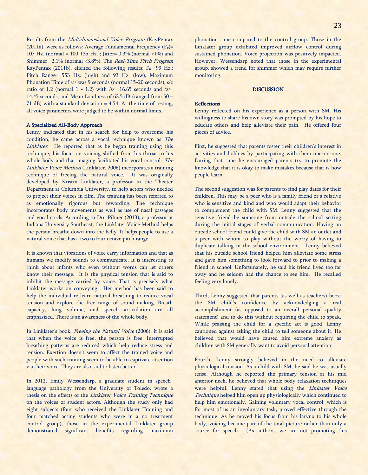Results from the Multidimensional Voice Program (KayPentax (2011a). were as follows: Average Fundamental Frequency (Fo)= 107 Hz. (normal = 100-135 Hz.); Jitter=  $0.3\%$  (normal <1%) and Shimmer= 2.1% (normal <3.8%). The Real-Time Pitch Program KayPentax (2011b). elicited the following results: F<sub>o=</sub> 99 Hz.; Pitch Range= 553 Hz. (high) and 93 Hz. (low); Maximum Phonation Time of /a/ was 9 seconds (normal 15-20 seconds); s/z ratio of 1.2 (normal  $1 - 1.2$ ) with  $\sqrt{s}$  = 16.65 seconds and  $\sqrt{z}$  = 14.45 seconds; and Mean Loudness of 63.5 dB (ranged from 50 – 71 dB) with a standard deviation = 4.54. At the time of testing, all voice parameters were judged to be within normal limits.

## A Specialized All-Body Approach

Lenny indicated that in his search for help to overcome his condition, he came across a vocal technique known as The Linklater. He reported that as he began training using this technique, his focus on voicing shifted from his throat to his whole body and that imaging facilitated his vocal control. The Linklater Voice Method (Linklater, 2006) incorporates a training technique of freeing the natural voice. It was originally developed by Kristin Linklater, a professor in the Theater Department at Columbia University, to help actors who needed to project their voices in film. The training has been referred to as emotionally rigorous but rewarding. The technique incorporates body movements as well as use of nasal passages and vocal cords. According to Dru Pilmer (2013), a professor at Indiana University Southeast, the Linklater Voice Method helps the person breathe down into the belly. It helps people to use a natural voice that has a two to four octave pitch range.

It is known that vibrations of voice carry information and that as humans we modify sounds to communicate. It is interesting to think about infants who even without words can let others know their message. It is the physical tension that is said to inhibit the message carried by voice. That is precisely what Linklater works on conveying. Her method has been said to help the individual re-learn natural breathing to reduce vocal tension and explore the free range of sound making. Breath capacity, lung volume, and speech articulation are all emphasized. There is an awareness of the whole body.

In Linklater's book, Freeing the Natural Voice (2006), it is said that when the voice is free, the person is free. Interrupted breathing patterns are reduced which help reduce stress and tension. Exertion doesn't seem to affect the trained voice and people with such training seem to be able to captivate attention via their voice. They are also said to listen better.

In 2012, Emily Wessendarp, a graduate student in speechlanguage pathology from the University of Toledo, wrote a thesis on the effects of the Linklater Voice Training Technique on the voices of student actors. Although the study only had eight subjects (four who received the Linklater Training and four matched acting students who were in a no treatment control group), those in the experimental Linklater group demonstrated significant benefits regarding maximum

phonation time compared to the control group. Those in the Linklater group exhibited improved airflow control during sustained phonation. Voice projection was positively impacted. However, Wessendarp noted that those in the experimental group, showed a trend for shimmer which may require further monitoring.

## **DISCUSSION**

### **Reflections**

Lenny reflected on his experience as a person with SM. His willingness to share his own story was prompted by his hope to educate others and help alleviate their pain. He offered four pieces of advice.

First, he suggested that parents foster their children's interest in activities and hobbies by participating with them one-on-one. During that time he encouraged parents try to promote the knowledge that it is okay to make mistakes because that is how people learn.

The second suggestion was for parents to find play dates for their children. This may be a peer who is a family friend or a relative who is sensitive and kind and who would adapt their behavior to complement the child with SM. Lenny suggested that the sensitive friend be someone from outside the school setting during the initial stages of verbal communication. Having an outside school friend could give the child with SM an outlet and a peer with whom to play without the worry of having to duplicate talking in the school environment. Lenny believed that his outside school friend helped him alleviate some stress and gave him something to look forward to prior to making a friend in school. Unfortunately, he said his friend lived too far away and he seldom had the chance to see him. He recalled feeling very lonely.

Third, Lenny suggested that parents (as well as teachers) boost the SM child's confidence by acknowledging a real accomplishment (as opposed to an overall personal quality statement) and to do this without requiring the child to speak. While praising the child for a specific act is good, Lenny cautioned against asking the child to tell someone about it. He believed that would have caused him extreme anxiety as children with SM generally want to avoid personal attention.

Fourth, Lenny strongly believed in the need to alleviate physiological tension. As a child with SM, he said he was usually tense. Although he reported the primary tension at his mid anterior neck, he believed that whole body relaxation techniques were helpful. Lenny stated that using the Linklater Voice Technique helped him open up physiologically which continued to help him emotionally. Gaining voluntary vocal control, which is for most of us an involuntary task, proved effective through the technique. As he moved his focus from his larynx to his whole body, voicing became part of the total picture rather than only a source for speech. (As authors, we are not promoting this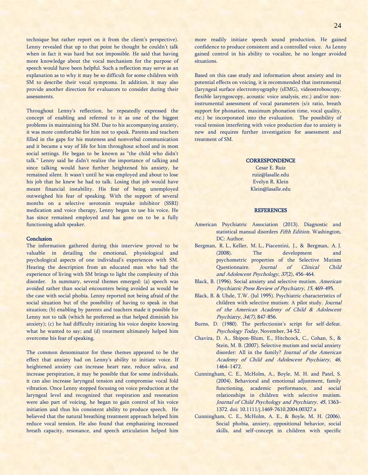technique but rather report on it from the client's perspective). Lenny revealed that up to that point he thought he couldn't talk when in fact it was hard but not impossible. He said that having more knowledge about the vocal mechanism for the purpose of speech would have been helpful. Such a reflection may serve as an explanation as to why it may be so difficult for some children with SM to describe their vocal symptoms. In addition, it may also provide another direction for evaluators to consider during their assessments.

Throughout Lenny's reflection, he repeatedly expressed the concept of enabling and referred to it as one of the biggest problems in maintaining his SM. Due to his accompanying anxiety, it was more comfortable for him not to speak. Parents and teachers filled in the gaps for his muteness and nonverbal communication and it became a way of life for him throughout school and in most social settings. He began to be known as "the child who didn't talk." Lenny said he didn't realize the importance of talking and since talking would have further heightened his anxiety, he remained silent. It wasn't until he was employed and about to lose his job that he knew he had to talk. Losing that job would have meant financial instability. His fear of being unemployed outweighed his fear of speaking. With the support of several months on a selective serotonin reuptake inhibitor (SSRI) medication and voice therapy, Lenny began to use his voice. He has since remained employed and has gone on to be a fully functioning adult speaker.

#### **Conclusion**

The information gathered during this interview proved to be valuable in detailing the emotional, physiological and psychological aspects of one individual's experiences with SM. Hearing the description from an educated man who had the experience of living with SM brings to light the complexity of this disorder. In summary, several themes emerged: (a) speech was avoided rather than social encounters being avoided as would be the case with social phobia. Lenny reported not being afraid of the social situation but of the possibility of having to speak in that situation; (b) enabling by parents and teachers made it possible for Lenny not to talk (which he preferred as that helped diminish his anxiety); (c) he had difficulty initiating his voice despite knowing what he wanted to say; and (d) treatment ultimately helped him overcome his fear of speaking.

The common denominator for these themes appeared to be the effect that anxiety had on Lenny's ability to initiate voice. If heightened anxiety can increase heart rate, reduce saliva, and increase perspiration, it may be possible that for some individuals, it can also increase laryngeal tension and compromise vocal fold vibration. Once Lenny stopped focusing on voice production at the laryngeal level and recognized that respiration and resonation were also part of voicing, he began to gain control of his voice initiation and thus his consistent ability to produce speech. He believed that the natural breathing treatment approach helped him reduce vocal tension. He also found that emphasizing increased breath capacity, resonance, and speech articulation helped him

more readily initiate speech sound production. He gained confidence to produce consistent and a controlled voice. As Lenny gained control in his ability to vocalize, he no longer avoided situations.

Based on this case study and information about anxiety and its potential effects on voicing, it is recommended that instrumental (laryngeal surface electromyography (sEMG), videostroboscopy, flexible laryngoscopy, acoustic voice analysis, etc.) and/or noninstrumental assessment of vocal parameters (s/z ratio, breath support for phonation, maximum phonation time, vocal quality, etc.) be incorporated into the evaluation. The possibility of vocal tension interfering with voice production due to anxiety is new and requires further investigation for assessment and treatment of SM.

#### **CORRESPONDENCE**

Cesar E. Ruiz [ruiz@lasalle.edu](mailto:ruiz@lasalle.edu) Evelyn R. Klein [Klein@lasalle.edu](mailto:Klein@lasalle.edu)

#### **REFERENCES**

- American Psychiatric Association (2013). Diagnostic and statistical manual disorders Fifth Edition. Washington, DC: Author.
- Bergman, R. L., Keller, M. L., Piacentini, J., & Bergman, A. J. (2008). The development and psychometric properties of the Selective Mutism Questionnaire. Journal of Clinical Child and Adolescent Psychology, 37(2), 456-464.
- Black, B. (1996). Social anxiety and selective mutism. American Psychiatric Press Review of Psychiatry, 15, 469-495.
- Black, B. & Uhde, T.W. (Jul 1995). Psychiatric characteristics of children with selective mutism: A pilot study. Journal of the American Academy of Child & Adolescent Psychiatry, 34(7), 847-856.
- Burns, D. (1980). The perfectionist's script for self-defeat. Psychology Today, November, 34-52.
- Chavira, D. A., Shipon-Blum, E., Hitchcock, C., Cohan, S., & Stein, M. B. (2007). Selective mutism and social anxiety disorder: All in the family? Journal of the American Academy of Child and Adolescent Psychiatry, 46, 1464−1472.
- Cunningham, C. E., McHolm, A., Boyle, M. H. and Patel, S. (2004). Behavioral and emotional adjustment, family functioning, academic performance, and social relationships in children with selective mutism. Journal of Child Psychology and Psychiatry, 45, 1363– 1372. doi: 10.1111/j.1469-7610.2004.00327.x
- Cunningham, C. E., McHolm, A. E., & Boyle, M. H. (2006). Social phobia, anxiety, oppositional behavior, social skills, and self-concept in children with specific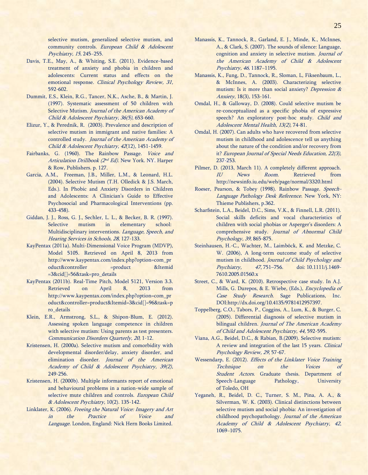selective mutism, generalized selective mutism, and community controls. European Child & Adolescent Psychiatry, 15, 245−255.

- Davis, T.E., May, A., & Whiting, S.E. (2011). Evidence-based treatment of anxiety and phobia in children and adolescents: Current status and effects on the emotional response. Clinical Psychology Review, 31, 592-602.
- Dummit, E.S., Klein, R.G., Tancer, N.K., Asche, B., & Martin, J. (1997). Systematic assessment of 50 children with Selective Mutism. Journal of the American Academy of Child & Adolescent Psychiatry, 36(5), 653-660.
- Elizur, Y., & Perednik, R. (2003). Prevalence and description of selective mutism in immigrant and native families: A controlled study. Journal of the American Academy of Child & Adolescent Psychiatry, 42(12), 1451-1459.
- Fairbanks, G. (1960). The Rainbow Passage. Voice and Articulation Drillbook (2<sup>nd</sup> Ed). New York. NY. Harper & Row, Publishers. p. 127.
- Garcia, A.M., Freeman, J.B., Miller, L.M., & Leonard, H.L. (2004). Selective Mutism (T.H. Olledick & J.S. March, Eds.). In Phobic and Anxiety Disorders in Children and Adolescents: A Clinician's Guide to Effective Psychosocial and Pharmacological Interventions (pp. 433-458).
- Giddan, J. J., Ross, G. J., Sechler, L. L., & Becker, B. R. (1997). Selective mutism in elementary school: Multidisciplinary interventions. Language, Speech, and Hearing Services in Schools, 28, 127-133.
- KayPentax (2011a). Multi-Dimensional Voice Program (MDVP), Model 5105. Retrieved on April 8, 2013 from http://www.kaypentax.com/index.php?option=com\_pr oduct&controller =product &Itemid =3&cid[]=56&task=pro\_details
- KayPentax (2011b). Real-Time Pitch, Model 5121, Version 3.3. Retrieved on April 8, 2013 from http://www.kaypentax.com/index.php?option=com\_pr oduct&controller=product&Itemid=3&cid[]=96&task=p ro\_details
- Klein, E.R., Armstrong, S.L., & Shipon-Blum, E. (2012). Assessing spoken language competence in children with selective mutism: Using parents as test presenters. Communication Disorders Quarterly, 20, 1-12.
- Kristensen, H. (2000a). Selective mutism and comorbidity with developmental disorder/delay, anxiety disorder, and elimination disorder. Journal of the American Academy of Child & Adolescent Psychiatry, 39(2), 249-256.
- Kristensen, H. (2000b). Multiple informants report of emotional and behavioural problems in a nation-wide sample of selective mute children and controls. European Child & Adolescent Psychiatry, 10(2). 135-142.
- Linklater, K. (2006). Freeing the Natural Voice: Imagery and Art in the Practice of Voice and Language. London, England: Nick Hern Books Limited.
- Manassis, K., Tannock, R., Garland, E. J., Minde, K., McInnes, A., & Clark, S. (2007). The sounds of silence: Language, cognition and anxiety in selective mutism. Journal of the American Academy of Child & Adolescent Psychiatry, 46, 1187−1195.
- Manassis, K., Fung, D., Tannock, R., Sloman, L, Fiksenbaum, L., & McInnes, A. (2003). Characterizing selective mutism: Is it more than social anxiety? Depression & Anxiety, 18(3), 153-161.
- Omdal, H., & Galloway, D. (2008). Could selective mutism be re-conceptualized as a specific phobia of expressive speech? An exploratory post-hoc study. Child and Adolescent Mental Health, 13(2), 74-81.
- Omdal, H. (2007). Can adults who have recovered from selective mutism in childhood and adolescence tell us anything about the nature of the condition and/or recovery from it? European Journal of Special Needs Education, 22(3), 237-253.
- Pilmer, D. (2013, March 11). A completely different approach. IU News Room. Retrieved from http://newsinfo.iu.edu/web/page/normal/3320.html
- Roeser, Pearson, & Tobey (1998). Rainbow Passage. Speech-Language Pathology Desk Reference. New York, NY: Thieme Publishers, p.362.
- Scharfstein, L.A., Beidel, D.C., Sims, V.K., & Finnell, L.R. (2011). Social skills deficits and vocal characteristics of children with social phobias or Asperger's disorders: A comprehensive study. Journal of Abnormal Child Psychology, 39, 865-875.
- Steinhausen, H.-C., Wachter, M., Laimböck, K. and Metzke, C. W. (2006), A long-term outcome study of selective mutism in childhood. Journal of Child Psychology and Psychiatry, 47, 751–756. doi: 10.1111/j.1469- 7610.2005.01560.x
- Street, C., & Ward, K. (2010). Retrospective case study. In A.J. Mills, G. Durepos, & E. Wiebe, (Eds.), Encyclopedia of Case Study Research. Sage Publications, Inc. DOI:http://dx.doi.org/10.4135/9781412957397.
- Toppelberg, C.O., Tabors, P., Coggins, A., Lum, K., & Burger, C. (2005). Differential diagnosis of selective mutism in bilingual children. Journal of The American Academy of Child and Adolescent Psychiatry, 44, 592-595.
- Viana, A.G., Beidel, D.C., & Rabian, B.(2009). Selective mutism: A review and integration of the last 15 years. Clinical Psychology Review, 29, 57-67.
- Wessendarp, E. (2012). Effects of the Linklater Voice Training Technique on the Voices of Student Actors. Graduate thesis. Department of Speech-Language Pathology, University of Toledo, OH
- Yeganeh, R., Beidel, D. C., Turner, S. M., Pina, A. A., & Silverman, W. K. (2003). Clinical distinctions between selective mutism and social phobia: An investigation of childhood psychopathology. Journal of the American Academy of Child & Adolescent Psychiatry, 42, 1069−1075.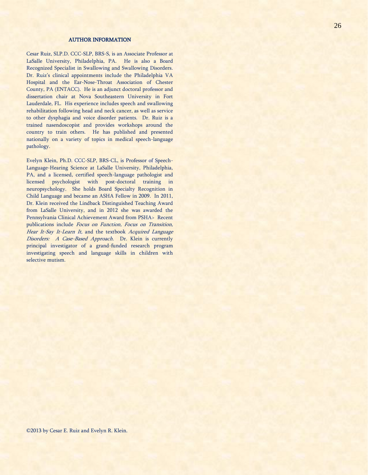## AUTHOR INFORMATION

Cesar Ruiz, SLP.D. CCC-SLP, BRS-S, is an Associate Professor at LaSalle University, Philadelphia, PA. He is also a Board Recognized Specialist in Swallowing and Swallowing Disorders. Dr. Ruiz's clinical appointments include the Philadelphia VA Hospital and the Ear-Nose-Throat Association of Chester County, PA (ENTACC). He is an adjunct doctoral professor and dissertation chair at Nova Southeastern University in Fort Lauderdale, FL. His experience includes speech and swallowing rehabilitation following head and neck cancer, as well as service to other dysphagia and voice disorder patients. Dr. Ruiz is a trained nasendoscopist and provides workshops around the country to train others. He has published and presented nationally on a variety of topics in medical speech-language pathology.

Evelyn Klein, Ph.D. CCC-SLP, BRS-CL, is Professor of Speech-Language-Hearing Science at LaSalle University, Philadelphia, PA, and a licensed, certified speech-language pathologist and licensed psychologist with post-doctoral training in neuropsychology. She holds Board Specialty Recognition in Child Language and became an ASHA Fellow in 2009. In 2011, Dr. Klein received the Lindback Distinguished Teaching Award from LaSalle University, and in 2012 she was awarded the Pennsylvania Clinical Achievement Award from PSHA> Recent publications include Focus on Function, Focus on Transition, Hear It-Say It-Learn It, and the textbook Acquired Language Disorders: A Case-Based Approach. Dr. Klein is currently principal investigator of a grand-funded research program investigating speech and language skills in children with selective mutism.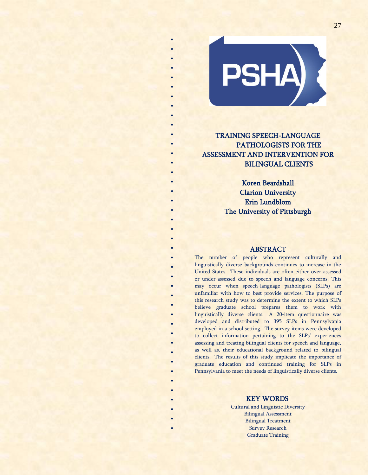

\* \* \* \* \* \* \* \* \* \* \* \* \*

\* \* \*

\* \*

\* \*

\* \* \* \* \* \* \* \*

\* \* \* \* \* \* \* \*

> \* \* \* \* \* \*

# TRAINING SPEECH-LANGUAGE PATHOLOGISTS FOR THE ASSESSMENT AND INTERVENTION FOR BILINGUAL CLIENTS

Koren Beardshall Clarion University Erin Lundblom The University of Pittsburgh

## ABSTRACT

The number of people who represent culturally and linguistically diverse backgrounds continues to increase in the United States. These individuals are often either over-assessed or under-assessed due to speech and language concerns. This may occur when speech-language pathologists (SLPs) are unfamiliar with how to best provide services. The purpose of this research study was to determine the extent to which SLPs believe graduate school prepares them to work with linguistically diverse clients. A 20-item questionnaire was developed and distributed to 395 SLPs in Pennsylvania employed in a school setting. The survey items were developed to collect information pertaining to the SLPs' experiences assessing and treating bilingual clients for speech and language, as well as, their educational background related to bilingual clients. The results of this study implicate the importance of graduate education and continued training for SLPs in Pennsylvania to meet the needs of linguistically diverse clients.

## KEY WORDS

Cultural and Linguistic Diversity Bilingual Assessment Bilingual Treatment Survey Research Graduate Training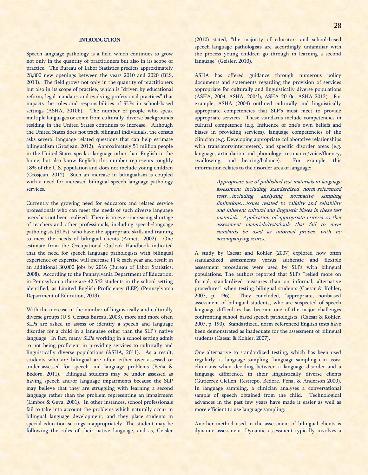## **INTRODUCTION**

Speech-language pathology is a field which continues to grow not only in the quantity of practitioners but also in its scope of practice. The Bureau of Labor Statistics predicts approximately 28,800 new openings between the years 2010 and 2020 (BLS, 2013). The field grows not only in the quantity of practitioners but also in its scope of practice, which is "driven by educational reform, legal mandates and evolving professional practices" that impacts the roles and responsibilities of SLPs in school-based settings (ASHA, 2010b). The number of people who speak multiple languages or come from culturally, diverse backgrounds residing in the United States continues to increase. Although the United States does not track bilingual individuals, the census asks several language related questions that can help estimate bilingualism (Grosjean, 2012). Approximately 51 million people in the United States speak a language other than English in the home, but also know English; this number represents roughly 18% of the U.S. population and does not include young children (Grosjean, 2012). Such an increase in bilingualism is coupled with a need for increased bilingual speech-language pathology services.

Currently the growing need for educators and related service professionals who can meet the needs of such diverse language users has not been realized. There is an ever-increasing shortage of teachers and other professionals, including speech-language pathologists (SLPs), who have the appropriate skills and training to meet the needs of bilingual clients (Annett, 2002). One estimate from the Occupational Outlook Handbook indicated that the need for speech-language pathologists with bilingual experience or expertise will increase 11% each year and result in an additional 30,000 jobs by 2016 (Bureau of Labor Statistics, 2008). According to the Pennsylvania Department of Education, in Pennsylvania there are 42,542 students in the school setting identified, as Limited English Proficiency (LEP) (Pennsylvania Department of Education, 2013).

With the increase in the number of linguistically and culturally diverse groups (U.S. Census Bureau, 2003), more and more often SLPs are asked to assess or identify a speech and language disorder for a child in a language other than the SLP's native language. In fact, many SLPs working in a school setting admit to not being proficient in providing services to culturally and linguistically diverse populations (ASHA, 2011). As a result, students who are bilingual are often either over-assessed or under-assessed for speech and language problems (Peńa & Bedore, 2011). Bilingual students may be under assessed as having speech and/or language impairments because the SLP may believe that they are struggling with learning a second language rather than the problem representing an impairment (Limbos & Geva, 2001). In other instances, school professionals fail to take into account the problems which naturally occur in bilingual language development, and they place students in special education settings inappropriately. The student may be following the rules of their native language, and as, Geisler (2010) stated, "the majority of educators and school-based speech-language pathologists are accordingly unfamiliar with the process young children go through in learning a second language" (Geisler, 2010).

ASHA has offered guidance through numerous policy documents and statements regarding the provision of services appropriate for culturally and linguistically diverse populations (ASHA, 2004; ASHA, 2004b, ASHA 2010c, ASHA 2012). For example, ASHA (2004) outlined culturally and linguistically appropriate competencies that SLP's must meet to provide appropriate services. These standards include competencies in cultural competence (e.g. Influence of one's own beliefs and biases in providing services), language competencies of the clinician (e.g. Developing appropriate collaborative relationships with translators/interpreters), and specific disorder areas (e.g. language, articulation and phonology, resonance/voice/fluency, swallowing, and hearing/balance). For example, this information relates to the disorder area of language:

> Appropriate use of published test materials in language assessment including standardized norm-referenced tests…including analyzing normative sampling limitations…issues related to validity and reliability and inherent cultural and linguistic biases in these test materials. Application of appropriate criteria so that assessment materials/tests/tools that fail to meet standards be used as informal probes, with no accompanying scores.

A study by Caesar and Kohler (2007) explored how often standardized assessments versus authentic and flexible assessment procedures were used by SLPs with bilingual populations. The authors reported that SLPs "relied more on formal, standardized measures than on informal, alternative procedures" when testing bilingual students (Caesar & Kohler, 2007, p. 196). They concluded, "appropriate, nonbiased assessment of bilingual students, who are suspected of speech language difficulties has become one of the major challenges confronting school-based speech pathologists" (Caesar & Kohler, 2007, p. 190). Standardized, norm-referenced English tests have been demonstrated as inadequate for the assessment of bilingual students (Caesar & Kohler, 2007).

One alternative to standardized testing, which has been used regularly, is language sampling. Language sampling can assist clinicians when deciding between a language disorder and a language difference, in their linguistically diverse clients (Gutierrez-Clellen, Restrepo, Bedore, Pena, & Anderson 2000). In language sampling, a clinician analyses a conversational sample of speech obtained from the child. Technological advances in the past few years have made it easier as well as more efficient to use language sampling.

Another method used in the assessment of bilingual clients is dynamic assessment. Dynamic assessment typically involves a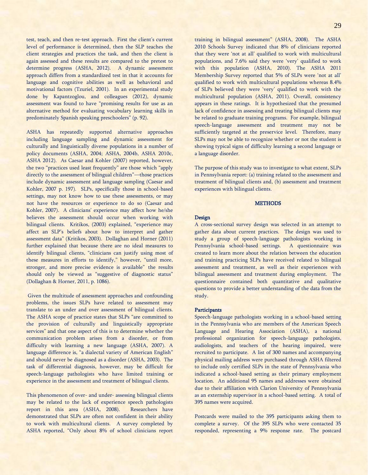test, teach, and then re-test approach. First the client's current level of performance is determined, then the SLP teaches the client strategies and practices the task, and then the client is again assessed and these results are compared to the pretest to determine progress (ASHA, 2012). A dynamic assessment approach differs from a standardized test in that it accounts for language and cognitive abilities as well as behavioral and motivational factors (Tzuriel, 2001). In an experimental study done by Kapantzoglou, and colleagues (2012), dynamic assessment was found to have "promising results for use as an alternative method for evaluating vocabulary learning skills in predominately Spanish speaking preschoolers" (p. 92).

ASHA has repeatedly supported alternative approaches including language sampling and dynamic assessment for culturally and linguistically diverse populations in a number of policy documents (ASHA, 2004; ASHA, 2004b, ASHA 2010c, ASHA 2012). As Caesar and Kohler (2007) reported, however, the two "practices used least frequently" are those which "apply directly to the assessment of bilingual children"—those practices include dynamic assessment and language sampling (Caesar and Kohler, 2007 p. 197). SLPs, specifically those in school-based settings, may not know how to use these assessments, or may not have the resources or experience to do so (Caesar and Kohler, 2007). A clinicians' experience may affect how he/she believes the assessment should occur when working with bilingual clients. Kritikos, (2003) explained, "experience may affect an SLP's beliefs about how to interpret and gather assessment data" (Kritikos, 2003). Dollaghan and Horner (2011) further explained that because there are no ideal measures to identify bilingual clients, "clinicians can justify using most of these measures in efforts to identify," however, "until more, stronger, and more precise evidence is available" the results should only be viewed as "suggestive of diagnostic status" (Dollaghan & Horner, 2011, p. 1086).

Given the multitude of assessment approaches and confounding problems, the issues SLPs have related to assessment may translate to an under and over assessment of bilingual clients. The ASHA scope of practice states that SLPs "are committed to the provision of culturally and linguistically appropriate services" and that one aspect of this is to determine whether the communication problem arises from a disorder, or from difficulty with learning a new language (ASHA, 2007). A language difference is, "a dialectal variety of American English" and should never be diagnosed as a disorder (ASHA, 2003). The task of differential diagnosis, however, may be difficult for speech-language pathologists who have limited training or experience in the assessment and treatment of bilingual clients.

This phenomenon of over- and under- assessing bilingual clients may be related to the lack of experience speech pathologists report in this area (ASHA, 2008). Researchers have demonstrated that SLPs are often not confident in their ability to work with multicultural clients. A survey completed by ASHA reported, "Only about 8% of school clinicians report training in bilingual assessment" (ASHA, 2008). The ASHA 2010 Schools Survey indicated that 8% of clinicians reported that they were 'not at all' qualified to work with multicultural populations, and 7.6% said they were 'very' qualified to work with this population (ASHA, 2010). The ASHA 2011 Membership Survey reported that 5% of SLPs were 'not at all' qualified to work with multicultural populations whereas 8.4% of SLPs believed they were 'very' qualified to work with the multicultural population (ASHA, 2011). Overall, consistency appears in these ratings. It is hypothesized that the presumed lack of confidence in assessing and treating bilingual clients may be related to graduate training programs. For example, bilingual speech-language assessment and treatment may not be sufficiently targeted at the preservice level. Therefore, many SLPs may not be able to recognize whether or not the student is showing typical signs of difficulty learning a second language or a language disorder.

The purpose of this study was to investigate to what extent, SLPs in Pennsylvania report: (a) training related to the assessment and treatment of bilingual clients and, (b) assessment and treatment experiences with bilingual clients.

#### **METHODS**

#### Design

A cross-sectional survey design was selected in an attempt to gather data about current practices. The design was used to study a group of speech-language pathologists working in Pennsylvania school-based settings. A questionnaire was created to learn more about the relation between the education and training practicing SLPs have received related to bilingual assessment and treatment, as well as their experiences with bilingual assessment and treatment during employment. The questionnaire contained both quantitative and qualitative questions to provide a better understanding of the data from the study.

## **Participants**

Speech-language pathologists working in a school-based setting in the Pennsylvania who are members of the American Speech Language and Hearing Association (ASHA), a national professional organization for speech-language pathologists, audiologists, and teachers of the hearing impaired, were recruited to participate. A list of 300 names and accompanying physical mailing address were purchased through ASHA filtered to include only certified SLPs in the state of Pennsylvania who indicated a school-based setting as their primary employment location. An additional 95 names and addresses were obtained due to their affiliation with Clarion University of Pennsylvania as an externship supervisor in a school-based setting. A total of 395 names were acquired.

Postcards were mailed to the 395 participants asking them to complete a survey. Of the 395 SLPs who were contacted 35 responded, representing a 9% response rate. The postcard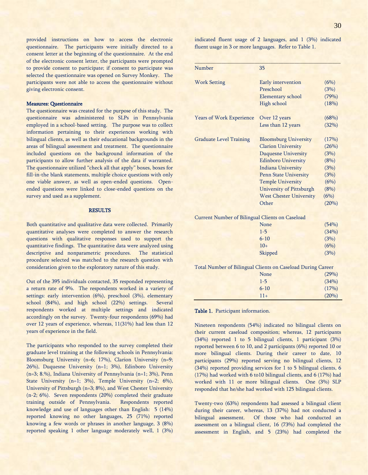provided instructions on how to access the electronic questionnaire. The participants were initially directed to a consent letter at the beginning of the questionnaire. At the end of the electronic consent letter, the participants were prompted to provide consent to participate; if consent to participate was selected the questionnaire was opened on Survey Monkey. The participants were not able to access the questionnaire without giving electronic consent.

## Measures: Questionnaire

The questionnaire was created for the purpose of this study. The questionnaire was administered to SLPs in Pennsylvania employed in a school-based setting. The purpose was to collect information pertaining to their experiences working with bilingual clients, as well as their educational backgrounds in the areas of bilingual assessment and treatment. The questionnaire included questions on the background information of the participants to allow further analysis of the data if warranted. The questionnaire utilized "check all that apply" boxes, boxes for fill-in-the blank statements, multiple choice questions with only one viable answer, as well as open-ended questions. Openended questions were linked to close-ended questions on the survey and used as a supplement.

#### **RESULTS**

Both quantitative and qualitative data were collected. Primarily quantitative analyses were completed to answer the research questions with qualitative responses used to support the quantitative findings. The quantitative data were analyzed using descriptive and nonparametric procedures. The statistical procedure selected was matched to the research question with consideration given to the exploratory nature of this study.

Out of the 395 individuals contacted, 35 responded representing a return rate of 9%. The respondents worked in a variety of settings: early intervention (6%), preschool (3%), elementary school (84%), and high school (22%) settings. Several respondents worked at multiple settings and indicated accordingly on the survey. Twenty-four respondents (69%) had over 12 years of experience, whereas, 11(31%) had less than 12 years of experience in the field.

The participants who responded to the survey completed their graduate level training at the following schools in Pennsylvania: Bloomsburg University (n=6; 17%), Clarion University (n=9; 26%), Duquesne University (n=1; 3%), Edinboro University (n=3; 8.%), Indiana University of Pennsylvania (n=1; 3%), Penn State University (n=1; 3%), Temple University (n=2; 6%), University of Pittsburgh (n=3; 8%), and West Chester University (n-2; 6%). Seven respondents (20%) completed their graduate training outside of Pennsylvania. Respondents reported knowledge and use of languages other than English: 5 (14%) reported knowing no other languages, 25 (71%) reported knowing a few words or phrases in another language, 3 (8%) reported speaking 1 other language moderately well, 1 (3%)

indicated fluent usage of 2 languages, and 1 (3%) indicated fluent usage in 3 or more languages. Refer to Table 1.

| Number                                                 | 35                                                          |       |
|--------------------------------------------------------|-------------------------------------------------------------|-------|
| <b>Work Setting</b>                                    | Early intervention                                          | (6%)  |
|                                                        | Preschool                                                   | (3%)  |
|                                                        | Elementary school                                           | (79%) |
|                                                        | High school                                                 | (18%) |
| <b>Years of Work Experience</b>                        | Over 12 years                                               | (68%) |
|                                                        | Less than 12 years                                          | (32%) |
|                                                        |                                                             |       |
| <b>Graduate Level Training</b>                         | <b>Bloomsburg University</b>                                | (17%) |
|                                                        | <b>Clarion University</b>                                   | (26%) |
|                                                        | <b>Duquesne University</b>                                  | (3%)  |
|                                                        | <b>Edinboro University</b>                                  | (8%)  |
|                                                        | <b>Indiana University</b>                                   | (3%)  |
|                                                        | Penn State University                                       | (3%)  |
|                                                        | <b>Temple University</b>                                    | (6%)  |
|                                                        | <b>University of Pittsburgh</b>                             | (8%)  |
|                                                        | <b>West Chester University</b>                              | (6%)  |
|                                                        | Other                                                       | (20%) |
| <b>Current Number of Bilingual Clients on Caseload</b> |                                                             |       |
|                                                        | None                                                        | (54%) |
|                                                        | $1 - 5$                                                     | (34%) |
|                                                        | $6 - 10$                                                    | (3%)  |
|                                                        | $10+$                                                       | (6%)  |
|                                                        | Skipped                                                     | (3%)  |
|                                                        |                                                             |       |
|                                                        | Total Number of Bilingual Clients on Caseload During Career |       |
|                                                        | None                                                        | (29%) |
|                                                        | $1 - 5$                                                     | (34%) |
|                                                        | $6 - 10$                                                    | (17%) |
|                                                        | $11+$                                                       | (20%) |

## Table 1. Participant information.

Nineteen respondents (54%) indicated no bilingual clients on their current caseload composition; whereas, 12 participants (34%) reported 1 to 5 bilingual clients, 1 participant (3%) reported between 6 to 10, and 2 participants (6%) reported 10 or more bilingual clients. During their career to date, 10 participants (29%) reported serving no bilingual clients, 12 (34%) reported providing services for 1 to 5 bilingual clients, 6 (17%) had worked with 6 to10 bilingual clients, and 6 (17%) had worked with 11 or more bilingual clients. One (3%) SLP responded that he/she had worked with 125 bilingual clients.

Twenty-two (63%) respondents had assessed a bilingual client during their career, whereas, 13 (37%) had not conducted a bilingual assessment. Of those who had conducted an assessment on a bilingual client, 16 (73%) had completed the assessment in English, and 5 (23%) had completed the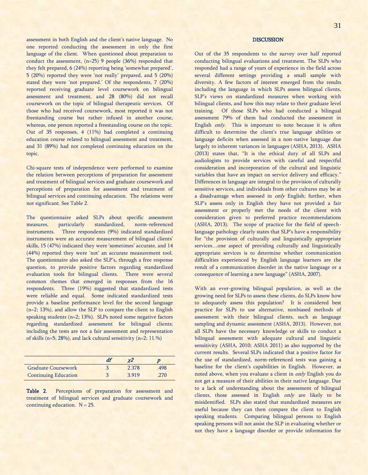assessment in both English and the client's native language. No one reported conducting the assessment in only the first language of the client. When questioned about preparation to conduct the assessment, (n=25) 9 people (36%) responded that they felt prepared, 6 (24%) reporting being 'somewhat prepared', 5 (20%) reported they were 'not really' prepared, and 5 (20%) stated they were 'not prepared.' Of the respondents, 7 (20%) reported receiving graduate level coursework on bilingual assessment and treatment, and 28 (80%) did not recall coursework on the topic of bilingual therapeutic services. Of those who had received coursework, most reported it was not freestanding course but rather infused in another course, whereas, one person reported a freestanding course on the topic. Out of 35 responses, 4 (11%) had completed a continuing education course related to bilingual assessment and treatment, and 31 (89%) had not completed continuing education on the topic.

Chi-square tests of independence were performed to examine the relation between perceptions of preparation for assessment and treatment of bilingual services and graduate coursework and perceptions of preparation for assessment and treatment of bilingual services and continuing education. The relations were not significant. See Table 2.

The questionnaire asked SLPs about specific assessment measures, particularly standardized, norm-referenced instruments. Three respondents (9%) indicated standardized instruments were an accurate measurement of bilingual clients' skills, 15 (47%) indicated they were 'sometimes' accurate, and 14 (44%) reported they were 'not' an accurate measurement tool. The questionnaire also asked the SLP's, through a free response question, to provide positive factors regarding standardized evaluation tools for bilingual clients. There were several common themes that emerged in responses from the 16 respondents. Three (19%) suggested that standardized tests were reliable and equal. Some indicated standardized tests provide a baseline performance level for the second language (n=2; 13%), and allow the SLP to compare the client to English speaking students (n=2; 13%). SLPs noted some negative factors regarding standardized assessment for bilingual clients; including the tests are not a fair assessment and representation of skills (n=5; 28%), and lack cultural sensitivity (n=2; 11.%)

|                             | df | ¥2    |      |
|-----------------------------|----|-------|------|
| <b>Graduate Coursework</b>  |    | 2.378 | .498 |
| <b>Continuing Education</b> |    | 3919  | .270 |

Table 2. Perceptions of preparation for assessment and treatment of bilingual services and graduate coursework and continuing education.  $N = 25$ .

## **DISCUSSION**

Out of the 35 respondents to the survey over half reported conducting bilingual evaluations and treatment. The SLPs who responded had a range of years of experience in the field across several different settings providing a small sample with diversity. A few factors of interest emerged from the results including the language in which SLPs assess bilingual clients, SLP's views on standardized measures when working with bilingual clients, and how this may relate to their graduate level training. Of those SLPs who had conducted a bilingual assessment 79% of them had conducted the assessment in English only. This is important to note because it is often difficult to determine the client's true language abilities or language deficits when assessed in a non-native language due largely to inherent variances in languages (ASHA, 2013). ASHA (2013) states that, "It is the ethical duty of all SLPs and audiologists to provide services with careful and respectful consideration and incorporation of the cultural and linguistic variables that have an impact on service delivery and efficacy." Differences in language are integral to the provision of culturally sensitive services, and individuals from other cultures may be at a disadvantage when assessed in *only* English; further, when SLP's assess only in English they have not provided a fair assessment or properly met the needs of the client with consideration given to preferred practice recommendations (ASHA, 2013). The scope of practice for the field of speechlanguage pathology clearly states that SLP's have a responsibility for "the provision of culturally and linguistically appropriate services...one aspect of providing culturally and linguistically appropriate services is to determine whether communication difficulties experienced by English language learners are the result of a communication disorder in the native language or a consequence of learning a new language" (ASHA, 2007).

With an ever-growing bilingual population, as well as the growing need for SLPs to assess these clients, do SLPs know how to adequately assess this population? It is considered best practice for SLPs to use alternative, nonbiased methods of assessment with their bilingual clients, such as language sampling and dynamic assessment (ASHA, 2013). However, not all SLPs have the necessary knowledge or skills to conduct a bilingual assessment with adequate cultural and linguistic sensitivity (ASHA, 2010; ASHA 2011) as also supported by the current results. Several SLPs indicated that a positive factor for the use of standardized, norm-referenced tests was gaining a baseline for the client's capabilities in English. However, as noted above, when you evaluate a client in only English you do not get a measure of their abilities in their native language. Due to a lack of understanding about the assessment of bilingual clients, those assessed in English only are likely to be misidentified. SLPs also stated that standardized measures are useful because they can then compare the client to English speaking students. Comparing bilingual persons to English speaking persons will not assist the SLP in evaluating whether or not they have a language disorder or provide information for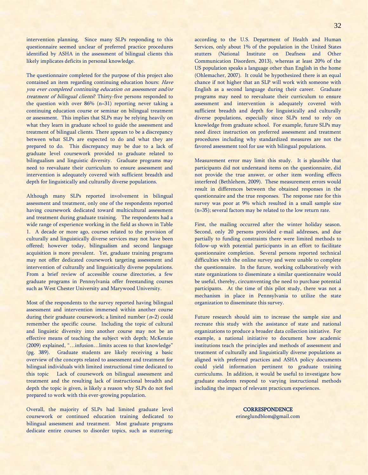intervention planning. Since many SLPs responding to this questionnaire seemed unclear of preferred practice procedures identified by ASHA in the assessment of bilingual clients this likely implicates deficits in personal knowledge.

The questionnaire completed for the purpose of this project also contained an item regarding continuing education hours: Have you ever completed continuing education on assessment and/or treatment of bilingual clients? Thirty-five persons responded to the question with over 86% (n=31) reporting never taking a continuing education course or seminar on bilingual treatment or assessment. This implies that SLPs may be relying heavily on what they learn in graduate school to guide the assessment and treatment of bilingual clients. There appears to be a discrepancy between what SLPs are expected to do and what they are prepared to do. This discrepancy may be due to a lack of graduate level coursework provided to graduate related to bilingualism and linguistic diversity. Graduate programs may need to reevaluate their curriculum to ensure assessment and intervention is adequately covered with sufficient breadth and depth for linguistically and culturally diverse populations.

Although many SLPs reported involvement in bilingual assessment and treatment, only one of the respondents reported having coursework dedicated toward multicultural assessment and treatment during graduate training. The respondents had a wide range of experience working in the field as shown in Table 1. A decade or more ago, courses related to the provision of culturally and linguistically diverse services may not have been offered; however today, bilingualism and second language acquisition is more prevalent. Yet, graduate training programs may not offer dedicated coursework targeting assessment and intervention of culturally and linguistically diverse populations. From a brief review of accessible course directories, a few graduate programs in Pennsylvania offer freestanding courses such as West Chester University and Marywood University.

Most of the respondents to the survey reported having bilingual assessment and intervention immersed within another course during their graduate coursework; a limited number  $(n=2)$  could remember the specific course. Including the topic of cultural and linguistic diversity into another course may not be an effective means of teaching the subject with depth; McKenzie (2009) explained, "…infusion…limits access to that knowledge" (pg. 389). Graduate students are likely receiving a basic overview of the concepts related to assessment and treatment for bilingual individuals with limited instructional time dedicated to this topic Lack of coursework on bilingual assessment and treatment and the resulting lack of instructional breadth and depth the topic is given, is likely a reason why SLPs do not feel prepared to work with this ever-growing population.

Overall, the majority of SLPs had limited graduate level coursework or continued education training dedicated to bilingual assessment and treatment. Most graduate programs dedicate entire courses to disorder topics, such as stuttering; according to the U.S. Department of Health and Human Services, only about 1% of the population in the United States stutters (National Institute on Deafness and Other Communication Disorders, 2013), whereas at least 20% of the US population speaks a language other than English in the home (Ohlemacher, 2007). It could be hypothesized there is an equal chance if not higher that an SLP will work with someone with English as a second language during their career. Graduate programs may need to reevaluate their curriculum to ensure assessment and intervention is adequately covered with sufficient breadth and depth for linguistically and culturally diverse populations, especially since SLPs tend to rely on knowledge from graduate school. For example, future SLPs may need direct instruction on preferred assessment and treatment procedures including why standardized measures are not the favored assessment tool for use with bilingual populations.

Measurement error may limit this study. It is plausible that participants did not understand items on the questionnaire, did not provide the true answer, or other item wording effects interfered (Bethlehem, 2009). These measurement errors would result in differences between the obtained responses in the questionnaire and the true responses. The response rate for this survey was poor at 9% which resulted in a small sample size (n=35); several factors may be related to the low return rate.

First, the mailing occurred after the winter holiday season. Second, only 20 persons provided e-mail addresses, and due partially to funding constraints there were limited methods to follow-up with potential participants in an effort to facilitate questionnaire completion. Several persons reported technical difficulties with the online survey and were unable to complete the questionnaire. In the future, working collaboratively with state organizations to disseminate a similar questionnaire would be useful, thereby, circumventing the need to purchase potential participants. At the time of this pilot study, there was not a mechanism in place in Pennsylvania to utilize the state organization to disseminate this survey.

Future research should aim to increase the sample size and recreate this study with the assistance of state and national organizations to produce a broader data collection initiative. For example, a national initiative to document how academic institutions teach the principles and methods of assessment and treatment of culturally and linguistically diverse populations as aligned with preferred practices and ASHA policy documents could yield information pertinent to graduate training curriculums. In addition, it would be useful to investigate how graduate students respond to varying instructional methods including the impact of relevant practicum experiences.

> **CORRESPONDENCE** [erineglundblom@gmail.com](mailto:erineglundblom@gmail.com)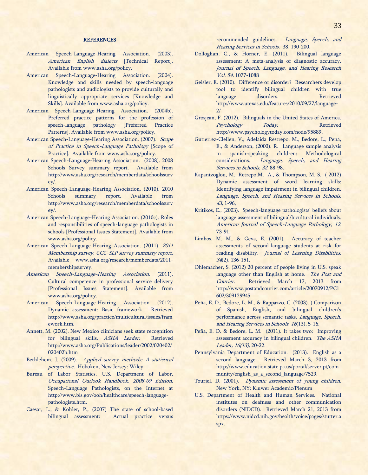## **REFERENCES**

- American Speech-Language-Hearing Association. (2003). American English dialects [Technical Report]. Available from www.asha.org/policy.
- American Speech-Language-Hearing Association. (2004). Knowledge and skills needed by speech-language pathologists and audiologists to provide culturally and linguistically appropriate services [Knowledge and Skills]. Available from [www.asha.org/policy.](http://www.asha.org/policy)
- American Speech-Language-Hearing Association. (2004b). Preferred practice patterns for the profession of speech-language pathology [Preferred Practice Patterns]. Available from www.asha.org/policy.
- American Speech-Language-Hearing Association. (2007). Scope of Practice in Speech-Language Pathology [Scope of Practice]. Available fro[m www.asha.org/policy.](http://www.asha.org/policy)
- American Speech-Language-Hearing Association. (2008). 2008 Schools Survey summary report. Available from http://www.asha.org/research/memberdata/schoolssurv ey/.
- American Speech-Language-Hearing Association. (2010). 2010 Schools summary report. Available from [http://www.asha.org/research/memberdata/schoolssurv](http://www.asha.org/research/memberdata/schoolssurvey/) [ey/.](http://www.asha.org/research/memberdata/schoolssurvey/)
- American Speech-Language-Hearing Association. (2010c). Roles and responsibilities of speech-language pathologists in schools [Professional Issues Statement]. Available from [www.asha.org/policy.](http://www.asha.org/policy)
- American Speech-Language-Hearing Association. (2011). 2011 Membership survey. CCC-SLP survey summary report. Available [www.asha.org/research/memberdata/2011](http://www.asha.org/research/memberdata/2011-membershipsurvey) [membershipsurvey.](http://www.asha.org/research/memberdata/2011-membershipsurvey)
- American Speech-Language-Hearing Association. (2011). Cultural competence in professional service delivery [Professional Issues Statement]. Available from [www.asha.org/policy.](http://www.asha.org/policy)
- American Speech-Language-Hearing Association (2012). Dynamic assessment: Basic framework. Retrieved [http://www.asha.org/practice/multicultural/issues/fram](http://www.asha.org/practice/multicultural/issues/framework.htm) [ework.htm.](http://www.asha.org/practice/multicultural/issues/framework.htm)
- Annett, M. (2002). New Mexico clinicians seek state recognition for bilingual skills. ASHA Leader. Retrieved http://www.asha.org/Publications/leader/2002/020402/ 020402b.htm
- Bethlehem, J. (2009). Applied survey methods: A statistical perspective. Hoboken, New Jersey: Wiley.
- Bureau of Labor Statistics, U.S. Department of Labor, Occupational Outlook Handbook, 2008-09 Edition, Speech-Language Pathologists, on the Internet at http;//www.bls.gov/ooh/healthcare/speech-languagepathologists.htm.
- Caesar, L., & Kohler, P., (2007) The state of school-based bilingual assessment: Actual practice versus

recommended guidelines. Language, Speech, and Hearing Services in Schools. 38, 190-200.

- Dolloghan, C., & Horner, E. (2011). Bilingual language assessment: A meta-analysis of diagnostic accuracy. Journal of Speech, Language, and Hearing Research Vol. 54. 1077-1088
- Geisler, E. (2010). Difference or disorder? Researchers develop tool to identify bilingual children with true language disorders. Retrieved http://www.utexas.edu/features/2010/09/27/language-2/
- Grosjean, F. (2012). Bilinguals in the United States of America. Psychology Today. Retrieved [http://www.psychologytoday.com/node/95889.](http://www.psychologytoday.com/node/95889)
- Gutierrez-Clellen, V., Adelaida Restrepo, M., Bedore, L., Pena, E., & Anderson, (2000). R. Language sample analysis in spanish-speaking children: Methodological considerations. Language, Speech, and Hearing Services in Schools. 32, 88-98.
- Kapantzoglou, M., Retrepo,M. A., & Thompson, M. S. ( 2012) Dynamic assessment of word learning skills: Identifying language impairment in bilingual children. Language, Speech, and Hearing Services in Schools. 43, 1-96,
- Kritikos, E., (2003). Speech-language pathologists' beliefs about language assessment of bilingual/bicultural individuals. American Journal of Speech-Language Pathology, 12. 73-91.
- Limbos, M. M., & Geva, E. (2001). Accuracy of teacher assessments of second-language students at risk for reading disability. Journal of Learning Disabilities, 34(2), 136-151.
- Ohlemacher, S. (2012) 20 percent of people living in U.S. speak language other than English at home. The Post and Courier. Retrieved March 17, 2013 from http://www.postandcourier.com/article/20070912/PC1 602/309129945
- Peña, E. D., Bedore, L. M., & Rappazzo, C. (2003). ) Comparison of Spanish, English, and bilingual children's performance across semantic tasks. Language, Speech, and Hearing Services in Schools, 16(13), 5-16.
- Peña, E. D. & Bedore, L. M. (2011). It takes two: Improving assessment accuracy in bilingual children. The ASHA Leader, 16(13), 20-22.
- Pennsylvania Department of Education. (2013). English as a second language. Retrieved March 3, 2013 from http://www.education.state.pa.us/portal/server.pt/com munity/english\_as\_a\_second\_language/7529.
- Tzuriel, D. (2001). Dynamic assessment of young children. New York, NY: Kluwer Academic/Plenum
- U.S. Department of Health and Human Services. National institutes on deafness and other communication disorders (NIDCD). Retrieved March 21, 2013 from [https://www.nidcd.nih.gov/health/voice/pages/stutter.a](https://www.nidcd.nih.gov/health/voice/pages/stutter.aspx) [spx.](https://www.nidcd.nih.gov/health/voice/pages/stutter.aspx)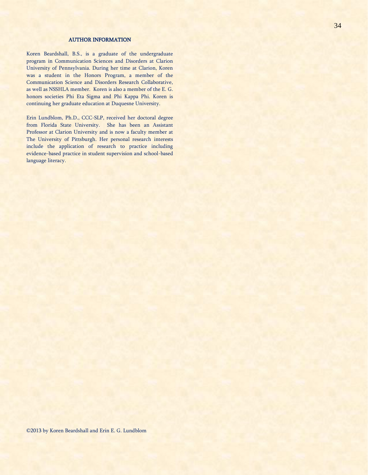## AUTHOR INFORMATION

Koren Beardshall, B.S., is a graduate of the undergraduate program in Communication Sciences and Disorders at Clarion University of Pennsylvania. During her time at Clarion, Koren was a student in the Honors Program, a member of the Communication Science and Disorders Research Collaborative, as well as NSSHLA member. Koren is also a member of the E. G. honors societies Phi Eta Sigma and Phi Kappa Phi. Koren is continuing her graduate education at Duquesne University.

Erin Lundblom, Ph.D., CCC-SLP, received her doctoral degree from Florida State University. She has been an Assistant Professor at Clarion University and is now a faculty member at The University of Pittsburgh. Her personal research interests include the application of research to practice including evidence-based practice in student supervision and school-based language literacy.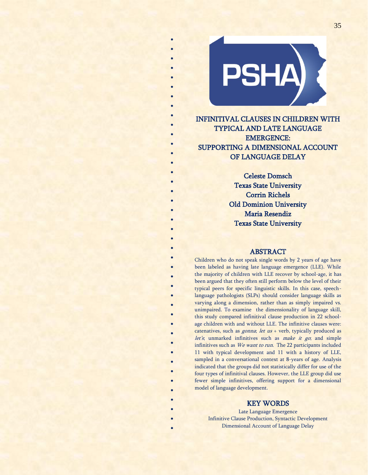

\* \* \* \* \* \* \* \* \* \* \* \* \* \*

\* \* \* \* \* \*

\* \* \* \* \* \*

\* \*

> \* \* \* \* \* \* \* \* \* \* \* \* \* \*

INFINITIVAL CLAUSES IN CHILDREN WITH TYPICAL AND LATE LANGUAGE EMERGENCE: SUPPORTING A DIMENSIONAL ACCOUNT OF LANGUAGE DELAY

> Celeste Domsch Texas State University Corrin Richels Old Dominion University Maria Resendiz Texas State University

## ABSTRACT

Children who do not speak single words by 2 years of age have been labeled as having late language emergence (LLE). While the majority of children with LLE recover by school-age, it has been argued that they often still perform below the level of their typical peers for specific linguistic skills. In this case, speechlanguage pathologists (SLPs) should consider language skills as varying along a dimension, rather than as simply impaired vs. unimpaired. To examine the dimensionality of language skill, this study compared infinitival clause production in 22 schoolage children with and without LLE. The infinitive clauses were: catenatives, such as  $gonna$ ; let  $us$  + verb, typically produced as let's, unmarked infinitives such as *make it go*; and simple infinitives such as We want to run. The 22 participants included 11 with typical development and 11 with a history of LLE, sampled in a conversational context at 8-years of age. Analysis indicated that the groups did not statistically differ for use of the four types of infinitival clauses. However, the LLE group did use fewer simple infinitives, offering support for a dimensional model of language development.

## KEY WORDS

Late Language Emergence Infinitive Clause Production, Syntactic Development Dimensional Account of Language Delay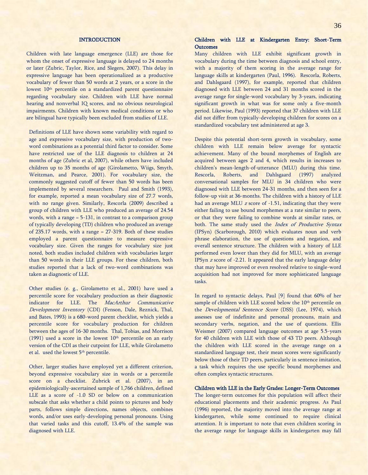## **INTRODUCTION**

Children with late language emergence (LLE) are those for whom the onset of expressive language is delayed to 24 months or later (Zubric, Taylor, Rice, and Slegers, 2007). This delay in expressive language has been operationalized as a productive vocabulary of fewer than 50 words at 2 years, or a score in the lowest 10<sup>th</sup> percentile on a standardized parent questionnaire regarding vocabulary size. Children with LLE have normal hearing and nonverbal IQ scores, and no obvious neurological impairments. Children with known medical conditions or who are bilingual have typically been excluded from studies of LLE.

Definitions of LLE have shown some variability with regard to age and expressive vocabulary size, with production of twoword combinations as a potential third factor to consider. Some have restricted use of the LLE diagnosis to children at 24 months of age (Zubric et al, 2007), while others have included children up to 35 months of age (Girolametto, Wiigs, Smyth, Weitzman, and Pearce, 2001). For vocabulary size, the commonly suggested cutoff of fewer than 50 words has been implemented by several researchers. Paul and Smith (1993), for example, reported a mean vocabulary size of 27.7 words, with no range given. Similarly, Rescorla (2009) described a group of children with LLE who produced an average of 24.54 words, with a range = 5-131, in contrast to a comparison group of typically developing (TD) children who produced an average of 235.17 words, with a range = 27-319. Both of these studies employed a parent questionnaire to measure expressive vocabulary size. Given the ranges for vocabulary size just noted, both studies included children with vocabularies larger than 50 words in their LLE groups. For these children, both studies reported that a lack of two-word combinations was taken as diagnostic of LLE.

Other studies (e. g., Girolametto et al., 2001) have used a percentile score for vocabulary production as their diagnostic indicator for LLE. The MacArthur Communicative Development Inventory (CDI) (Fenson, Dale, Reznick, Thal, and Bates, 1993) is a 680-word parent checklist, which yields a percentile score for vocabulary production for children between the ages of 16-30 months. Thal, Tobias, and Morrison (1991) used a score in the lowest  $10<sup>th</sup>$  percentile on an early version of the CDI as their cutpoint for LLE, while Girolametto et al. used the lowest 5<sup>th</sup> percentile.

Other, larger studies have employed yet a different criterion, beyond expressive vocabulary size in words or a percentile score on a checklist. Zubrick et al. (2007), in an epidemiologically-ascertained sample of 1,766 children, defined LLE as a score of -1.0 SD or below on a communication subscale that asks whether a child points to pictures and body parts, follows simple directions, names objects, combines words, and/or uses early-developing personal pronouns. Using that varied tasks and this cutoff, 13.4% of the sample was diagnosed with LLE.

## Children with LLE at Kindergarten Entry: Short-Term **Outcomes**

Many children with LLE exhibit significant growth in vocabulary during the time between diagnosis and school entry, with a majority of them scoring in the average range for language skills at kindergarten (Paul, 1996). Rescorla, Roberts, and Dahlsgaard (1997), for example, reported that children diagnosed with LLE between 24 and 31 months scored in the average range for single-word vocabulary by 3-years, indicating significant growth in what was for some only a five-month period. Likewise, Paul (1993) reported that 37 children with LLE did not differ from typically-developing children for scores on a standardized vocabulary test administered at age 3.

Despite this potential short-term growth in vocabulary, some children with LLE remain below average for syntactic achievement. Many of the bound morphemes of English are acquired between ages 2 and 4, which results in increases to children's mean-length-of-utterance (MLU) during this time. Rescorla, Roberts, and Dahlsgaard (1997) analyzed conversational samples for MLU in 34 children who were diagnosed with LLE between 24-31 months, and then seen for a follow-up visit at 36-months. The children with a history of LLE had an average MLU z score of -1.51, indicating that they were either failing to use bound morphemes at a rate similar to peers, or that they were failing to combine words at similar rates, or both. The same study used the Index of Productive Syntax (IPSyn) (Scarborough, 2010) which evaluates noun and verb phrase elaboration, the use of questions and negation, and overall sentence structure. The children with a history of LLE performed even lower than they did for MLU, with an average IPSyn <sup>z</sup> score of -2.21. It appeared that the early language delay that may have improved or even resolved relative to single-word acquisition had not improved for more sophisticated language tasks.

In regard to syntactic delays, Paul [9] found that 60% of her sample of children with LLE scored below the 10<sup>th</sup> percentile on the *Developmental Sentence Score* (DSS) (Lee, 1974), which assesses use of indefinite and personal pronouns, main and secondary verbs, negation, and the use of questions. Ellis Weismer (2007) compared language outcomes at age 5.5-years for 40 children with LLE with those of 43 TD peers. Although the children with LLE scored in the average range on a standardized language test, their mean scores were significantly below those of their TD peers, particularly in sentence imitation, a task which requires the use specific bound morphemes and often complex syntactic structures.

## Children with LLE in the Early Grades: Longer-Term Outcomes

The longer-term outcomes for this population will affect their educational placements and their academic progress. As Paul (1996) reported, the majority moved into the average range at kindergarten, while some continued to require clinical attention. It is important to note that even children scoring in the average range for language skills in kindergarten may fall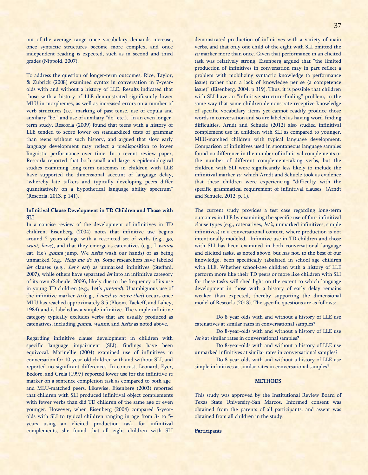out of the average range once vocabulary demands increase, once syntactic structures become more complex, and once independent reading is expected, such as in second and third grades (Nippold, 2007).

To address the question of longer-term outcomes, Rice, Taylor, & Zubrick (2008) examined syntax in conversation in 7-yearolds with and without a history of LLE. Results indicated that those with a history of LLE demonstrated significantly lower MLU in morphemes, as well as increased errors on a number of verb structures (i.e., marking of past tense, use of copula and auxiliary "be," and use of auxiliary "do" etc.). In an even longerterm study, Rescorla (2009) found that teens with a history of LLE tended to score lower on standardized tests of grammar than teens without such history, and argued that slow early language development may reflect a predisposition to lower linguistic performance over time. In a recent review paper, Rescorla reported that both small and large  $n$  epidemiological studies examining long-term outcomes in children with LLE have supported the dimensional account of language delay, "whereby late talkers and typically developing peers differ quantitatively on a hypothetical language ability spectrum" (Rescorla, 2013, p 141).

## Infinitival Clause Development in TD Children and Those with **SLI**

In a concise review of the development of infinitives in TD children, Eisenberg (2004) notes that infinitive use begins around 2 years of age with a restricted set of verbs (e.g., go, want, have), and that they emerge as catenatives (e.g., I wanna eat, He's *gonna* jump, We *hafta* wash our hands) or as being unmarked (e.g., Help me do it). Some researchers have labeled let clauses (e.g., Let's eat) as unmarked infinitives (Steffani, 2007), while others have separated *let* into an infinitive category of its own (Scheule, 2009), likely due to the frequency of its use in young TD children (e.g., Let's pretend). Unambiguous use of the infinitive marker to (e.g.,  $I$  need to move that) occurs once MLU has reached approximately 3.5 (Bloom, Tackeff, and Lahey, 1984) and is labeled as a simple infinitive. The simple infinitive category typically excludes verbs that are usually produced as catenatives, including gonna, wanna, and hafta as noted above.

Regarding infinitive clause development in children with specific language impairment (SLI), findings have been equivocal. Marinellie (2004) examined use of infinitives in conversation for 10-year-old children with and without SLI, and reported no significant differences. In contrast, Leonard, Eyer, Bedore, and Grela (1997) reported lower use for the infinitive to marker on a sentence completion task as compared to both ageand MLU-matched peers. Likewise, Eisenberg (2003) reported that children with SLI produced infinitival object complements with fewer verbs than did TD children of the same age or even younger. However, when Eisenberg (2004) compared 5-yearolds with SLI to typical children ranging in age from 3- to 5 years using an elicited production task for infinitival complements, she found that all eight children with SLI demonstrated production of infinitives with a variety of main verbs, and that only one child of the eight with SLI omitted the to marker more than once. Given that performance in an elicited task was relatively strong, Eisenberg argued that "the limited production of infinitives in conversation may in part reflect a problem with mobilizing syntactic knowledge (a performance issue) rather than a lack of knowledge per se (a competence issue)" (Eisenberg, 2004, p 319). Thus, it is possible that children with SLI have an "infinitive structure-finding" problem, in the same way that some children demonstrate receptive knowledge of specific vocabulary items yet cannot readily produce those words in conversation and so are labeled as having word-finding difficulties. Arndt and Schuele (2012) also studied infinitival complement use in children with SLI as compared to younger, MLU-matched children with typical language development. Comparison of infinitives used in spontaneous language samples found no difference in the number of infinitival complements or the number of different complement-taking verbs, but the children with SLI were significantly less likely to include the infinitival marker to, which Arndt and Schuele took as evidence that these children were experiencing "difficulty with the specific grammatical requirement of infinitival clauses" (Arndt and Schuele, 2012, p. 1).

The current study provides a test case regarding long-term outcomes in LLE by examining the specific use of four infinitival clause types (e.g., catenatives, let's, unmarked infinitives, simple infinitives) in a conversational context, where production is not intentionally modeled. Infinitive use in TD children and those with SLI has been examined in both conversational language and elicited tasks, as noted above, but has not, to the best of our knowledge, been specifically tabulated in school-age children with LLE. Whether school-age children with a history of LLE perform more like their TD peers or more like children with SLI for these tasks will shed light on the extent to which language development in those with a history of early delay remains weaker than expected, thereby supporting the dimensional model of Rescorla (2013). The specific questions are as follows:

Do 8-year-olds with and without a history of LLE use catenatives at similar rates in conversational samples?

Do 8-year-olds with and without a history of LLE use let's at similar rates in conversational samples?

Do 8-year-olds with and without a history of LLE use unmarked infinitives at similar rates in conversational samples?

Do 8-year-olds with and without a history of LLE use simple infinitives at similar rates in conversational samples?

#### **METHODS**

This study was approved by the Institutional Review Board of Texas State University-San Marcos. Informed consent was obtained from the parents of all participants, and assent was obtained from all children in the study.

## **Participants**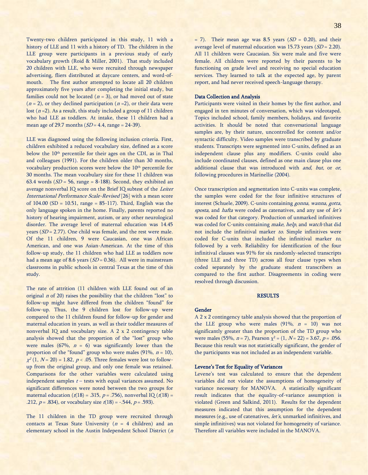Twenty-two children participated in this study, 11 with a history of LLE and 11 with a history of TD. The children in the LLE group were participants in a previous study of early vocabulary growth (Roid & Miller, 2001). That study included 20 children with LLE, who were recruited through newspaper advertising, fliers distributed at daycare centers, and word-ofmouth. The first author attempted to locate all 20 children approximately five years after completing the initial study, but families could not be located  $(n = 3)$ , or had moved out of state  $(n = 2)$ , or they declined participation  $(n = 2)$ , or their data were lost  $(n=2)$ . As a result, this study included a group of 11 children who had LLE as toddlers. At intake, these 11 children had a mean age of 29.7 months  $(SD = 4.4, \text{ range} = 24-39)$ .

LLE was diagnosed using the following inclusion criteria. First, children exhibited a reduced vocabulary size, defined as a score below the 10<sup>th</sup> percentile for their ages on the CDI, as in Thal and colleagues (1991). For the children older than 30 months, vocabulary production scores were below the 10<sup>th</sup> percentile for 30 months. The mean vocabulary size for these 11 children was 63.4 words ( $SD = 56$ , range = 8-188). Second, they exhibited an average nonverbal IQ score on the Brief IQ subtest of the Leiter International Performance Scale-Revised [26] with a mean score of 104.00 (SD = 10.51, range = 85-117). Third, English was the only language spoken in the home. Finally, parents reported no history of hearing impairment, autism, or any other neurological disorder. The average level of maternal education was 14.45 years  $(SD = 2.77)$ . One child was female, and the rest were male. Of the 11 children, 9 were Caucasian, one was African American, and one was Asian-American. At the time of this follow-up study, the 11 children who had LLE as toddlers now had a mean age of 8.6 years ( $SD = 0.36$ ). All were in mainstream classrooms in public schools in central Texas at the time of this study.

The rate of attrition (11 children with LLE found out of an original  $n$  of 20) raises the possibility that the children "lost" to follow-up might have differed from the children "found" for follow-up. Thus, the 9 children lost for follow-up were compared to the 11 children found for follow-up for gender and maternal education in years, as well as their toddler measures of nonverbal IQ and vocabulary size. A 2 x 2 contingency table analysis showed that the proportion of the "lost" group who were males (67%,  $n = 6$ ) was significantly lower than the proportion of the "found" group who were males (91%,  $n = 10$ ),  $\chi^2$  (1, N = 20) = 1.82, p < .05. Three females were lost to followup from the original group, and only one female was retained. Comparisons for the other variables were calculated using independent samples  $t$  – tests with equal variances assumed. No significant differences were noted between the two groups for maternal education ( $t(18) = .315$ ,  $p = .756$ ), nonverbal IQ ( $t(18) =$ .212,  $p = .834$ ), or vocabulary size  $t(18) = -.544$ ,  $p = .593$ ).

The 11 children in the TD group were recruited through contacts at Texas State University ( $n = 4$  children) and an elementary school in the Austin Independent School District (<sup>n</sup>  $= 7$ ). Their mean age was 8.5 years ( $SD = 0.20$ ), and their average level of maternal education was  $15.73$  years  $(SD = 2.20)$ . All 11 children were Caucasian. Six were male and five were female. All children were reported by their parents to be functioning on grade level and receiving no special education services. They learned to talk at the expected age, by parent report, and had never received speech-language therapy.

### Data Collection and Analysis

Participants were visited in their homes by the first author, and engaged in ten minutes of conversation, which was videotaped. Topics included school, family members, holidays, and favorite activities. It should be noted that conversational language samples are, by their nature, uncontrolled for content and/or syntactic difficulty. Video samples were transcribed by graduate students. Transcripts were segmented into C-units, defined as an independent clause plus any modifiers. C-units could also include coordinated clauses, defined as one main clause plus one additional clause that was introduced with and, but, or or, following procedures in Marinellie (2004).

Once transcription and segmentation into C-units was complete, the samples were coded for the four infinitive structures of interest (Schuele, 2009). C-units containing gonna, wanna, gotta, sposta, and hafta were coded as catenatives, and any use of let's was coded for that category. Production of unmarked infinitives was coded for C-units containing make, help, and watch that did not include the infinitival marker to. Simple infinitives were coded for C-units that included the infinitival marker to, followed by a verb. Reliability for identification of the four infinitival clauses was 91% for six randomly-selected transcripts (three LLE and three TD) across all four clause types when coded separately by the graduate student transcribers as compared to the first author. Disagreements in coding were resolved through discussion.

#### **RESULTS**

## Gender

A 2 x 2 contingency table analysis showed that the proportion of the LLE group who were males  $(91\%, n = 10)$  was not significantly greater than the proportion of the TD group who were males (55%,  $n = 7$ ), Pearson  $\chi^2 = (1, N = 22) = 3.67, p = .056$ . Because this result was not statistically significant, the gender of the participants was not included as an independent variable.

#### Levene's Test for Equality of Variances

Levene's test was calculated to ensure that the dependent variables did not violate the assumptions of homogeneity of variance necessary for MANOVA. A statistically significant result indicates that the equality-of-variance assumption is violated (Green and Salkind, 2011). Results for the dependent measures indicated that this assumption for the dependent measures (e.g., use of catenatives, let's, unmarked infinitives, and simple infinitives) was not violated for homogeneity of variance. Therefore all variables were included in the MANOVA.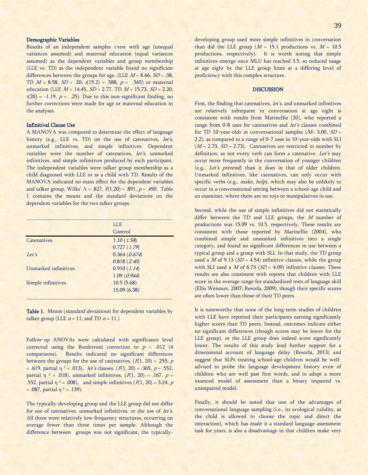## Demographic Variables

Results of an independent samples  $t$ -test with age (unequal variances assumed) and maternal education (equal variances assumed) as the dependent variables and group membership (LLE vs. TD) as the independent variable found no significant differences between the groups for age, (LLE  $M = 8.66$ ,  $SD = .38$ , TD  $M = 8.58$ ,  $SD = .20$ ;  $t(15.2) = .588$ ,  $p = .565$ ) or maternal education (LLE  $M = 14.45$ ,  $SD = 2.77$ , TD  $M = 15.73$ ,  $SD = 2.20$ ;  $t(20) = -1.19$ ,  $p = .25$ ). Due to this non-significant finding, no further corrections were made for age or maternal education in the analyses.

#### Infinitival Clause Use

A MANOVA was computed to determine the effect of language history (e.g., LLE vs. TD) on the use of catenatives, let's, unmarked infinitives, and simple infinitives. Dependent variables were the number of catenatives, let's, unmarked infinitives, and simple infinitives produced by each participant. The independent variables were talker group membership as a child diagnosed with LLE or as a child with TD. Results of the MANOVA indicated no main effect for the dependent variables and talker group, Wilks'  $\Lambda$  = .827,  $F(1,20)$  = .891,  $p$  = .490. Table 1 contains the means and the standard deviations on the dependent variables for the two talker groups.

|                      | LLE.          |
|----------------------|---------------|
|                      | Control       |
| <b>Catenatives</b>   | 1.10(1.58)    |
|                      | 0.727(1.79)   |
| Let's                | 0.364 (0.674) |
|                      | 0.818(2.40)   |
| Unmarked infinitives | 0.910(1.14)   |
|                      | 1.09(0.944)   |
| Simple infinitives   | 10.5(5.68)    |
|                      | 15.09 (6.38)  |
|                      |               |

Table 1. Means *(standard deviations)* for dependent variables by talker group (LLE  $n = 11$ ; and TD  $n = 11$ .)

Follow-up ANOVAs were calculated with significance level corrected using the Bonferroni correction to  $p < .012$  (4) comparisons). Results indicated no significant differences between the groups for the use of catenatives,  $(F(1, 20) = .255, p$ = .619, partial η <sup>2</sup> = .013), *let's* clauses,  $(F(1, 20) = .365, p = .552,$ partial  $\eta$  <sup>2</sup> = .018), unmarked infinitives, ( $F(1, 20)$  = .167,  $p =$ .552, partial  $\eta^2 = .008$ ), and simple infinitives ( $F(1, 20) = 3.24$ , p  $= .087$ , partial  $\eta$ <sup>2</sup>  $= .139$ ).

The typically-developing group and the LLE group did not differ for use of catenatives, unmarked infinitives, or the use of let's. All three were relatively low-frequency structures, occurring on average fewer than three times per sample. Although the difference between groups was not significant, the typicallydeveloping group used more simple infinitives in conversation than did the LLE group ( $M = 15.1$  productions vs.  $M = 10.5$ productions, respectively). It is worth noting that simple infinitives emerge once MLU has reached 3.5, so reduced usage at age eight by the LLE group hints at a differing level of proficiency with this complex structure.

## DISCUSSION

First, the finding that catenatives, *let's*, and unmarked infinitives are relatively infrequent in conversation at age eight is consistent with results from Marinellie [20], who reported a range from 0-8 uses for catenatives and *let's* clauses combined for TD 10-year-olds in conversational samples ( $M= 3.00$ ,  $SD=$ 2.2), as compared to a range of 0-7 uses in 10-year-olds with SLI  $(M = 2.73, SD = 2.73)$ . Catenatives are restricted in number by definition, as not every verb can form a catenative. Let's may occur more frequently in the conversation of younger children (e.g., Let's pretend) than it does in that of older children. Unmarked infinitives, like catenatives, can only occur with specific verbs (e.g., *make, help*), which may also be unlikely to occur in a conversational setting between a school-age child and an examiner, where there are no toys or manipulatives in use.

Second, while the use of simple infinitives did not statistically differ between the TD and LLE groups, the  $M$  number of productions was 15.09 vs. 10.5, respectively. These results are consistent with those reported by Marinellie (2004), who combined simple and unmarked infinitives into a single category, and found no significant differences in use between a typical group and a group with SLI. In that study, the TD group used a *M* of 9.13 ( $SD = 4.54$ ) infinitive clauses, while the group with SLI used a  $M$  of 6.73 ( $SD = 4.09$ ) infinitive clauses. These results are also consistent with reports that children with LLE score in the average range for standardized tests of language skill (Ellis Weismer, 2007; Resorla, 2009), though their specific scores are often lower than those of their TD peers.

It is noteworthy that none of the long-term studies of children with LLE have reported their participants earning significantly higher scores than TD peers. Instead, outcomes indicate either no significant differences (though scores may be lower for the LLE group), or the LLE group does indeed score significantly lower. The results of this study lend further support for a dimensional account of language delay (Resorla, 2013) and suggest that SLPs treating school-age children would be welladvised to probe the language development history even of children who are well past first words, and to adopt a more nuanced model of assessment than a binary impaired vs. unimpaired model.

Finally, it should be noted that one of the advantages of conversational language sampling (i.e., its ecological validity, as the child is allowed to choose the topic and direct the interaction), which has made it a standard language assessment task for years, is also a disadvantage in that children make very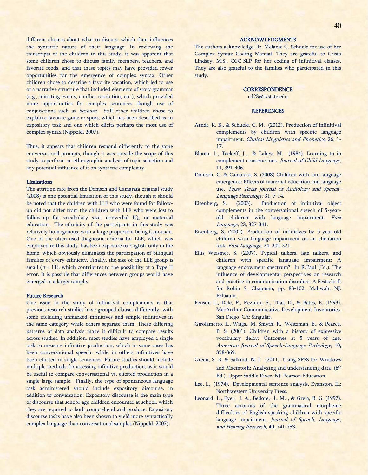different choices about what to discuss, which then influences the syntactic nature of their language. In reviewing the transcripts of the children in this study, it was apparent that some children chose to discuss family members, teachers, and favorite foods, and that these topics may have provided fewer opportunities for the emergence of complex syntax. Other children chose to describe a favorite vacation, which led to use of a narrative structure that included elements of story grammar (e.g., initiating events, conflict resolution, etc.), which provided more opportunities for complex sentences though use of conjunctions such as because. Still other children chose to explain a favorite game or sport, which has been described as an expository task and one which elicits perhaps the most use of complex syntax (Nippold, 2007).

Thus, it appears that children respond differently to the same conversational prompts, though it was outside the scope of this study to perform an ethnographic analysis of topic selection and any potential influence of it on syntactic complexity.

#### Limitations

The attrition rate from the Domsch and Camarata original study (2008) is one potential limitation of this study, though it should be noted that the children with LLE who were found for followup did not differ from the children with LLE who were lost to follow-up for vocabulary size, nonverbal IQ, or maternal education. The ethnicity of the participants in this study was relatively homogenous, with a large proportion being Caucasian. One of the often-used diagnostic criteria for LLE, which was employed in this study, has been exposure to English-only in the home, which obviously eliminates the participation of bilingual families of every ethnicity. Finally, the size of the LLE group is small  $(n = 11)$ , which contributes to the possibility of a Type II error. It is possible that differences between groups would have emerged in a larger sample.

### Future Research

One issue in the study of infinitival complements is that previous research studies have grouped clauses differently, with some including unmarked infinitives and simple infinitives in the same category while others separate them. These differing patterns of data analysis make it difficult to compare results across studies. In addition, most studies have employed a single task to measure infinitive production, which in some cases has been conversational speech, while in others infinitives have been elicited in single sentences. Future studies should include multiple methods for assessing infinitive production, as it would be useful to compare conversational vs. elicited production in a single large sample. Finally, the type of spontaneous language task administered should include expository discourse, in addition to conversation. Expository discourse is the main type of discourse that school-age children encounter at school, which they are required to both comprehend and produce. Expository discourse tasks have also been shown to yield more syntactically complex language than conversational samples (Nippold, 2007).

The authors acknowledge Dr. Melanie C. Schuele for use of her Complex Syntax Coding Manual. They are grateful to Crista Lindsey, M.S., CCC-SLP for her coding of infinitival clauses. They are also grateful to the families who participated in this study.

## **CORRESPONDENCE**

[cd23@txstate.edu](mailto:cd23@txstate.edu)

#### **REFERENCES**

- Arndt, K. B., & Schuele, C. M. (2012). Production of infinitival complements by children with specific language impairment. Clinical Linguistics and Phonetics, 26, 1-17.
- Bloom. L., Tackeff, J., & Lahey, M. (1984). Learning to in complement constructions. Journal of Child Language, 11, 391-406.
- Domsch, C. & Camarata, S. (2008) Children with late language emergence: Effects of maternal education and language use. Tejas: Texas Journal of Audiology and Speech-Language Pathology, 31, 7-14.
- Eisenberg, S. (2003). Production of infinitival object complements in the conversational speech of 5-yearold children with language impairment. First Language, 23, 327-341.
- Eisenberg, S, (2004). Production of infinitives by 5-year-old children with language impairment on an elicitation task. First Language, 24, 305-321.
- Ellis Weismer, S. (2007). Typical talkers, late talkers, and children with specific language impairment: A language endowment spectrum? In R.Paul (Ed.), The influence of developmental perspectives on research and practice in communication disorders: A Festschrift for Robin S. Chapman, pp. 83-102. Mahwah, NJ: Erlbaum.
- Fenson L., Dale, P., Reznick, S., Thal, D., & Bates, E. (1993). MacArthur Communicative Development Inventories. San Diego, CA: Singular.
- Girolametto, L., Wiigs., M, Smyth, R., Weitzman, E., & Pearce, P. S. (2001). Children with a history of expressive vocabulary delay: Outcomes at 5 years of age. American Journal of Speech-Language Pathology, 10, 358-369.
- Green, S. B. & Salkind, N. J. (2011). Using SPSS for Windows and Macintosh: Analyzing and understanding data (6 th Ed.). Upper Saddle River, NJ: Pearson Education.
- Lee, L, (1974). Developmental sentence analysis. Evanston, IL: Northwestern University Press.
- Leonard, L., Eyer, J. A., Bedore, L. M. , & Grela, B. G. (1997). Three accounts of the grammatical morpheme difficulties of English-speaking children with specific language impairment. Journal of Speech, Language, and Hearing Research, 40, 741-753.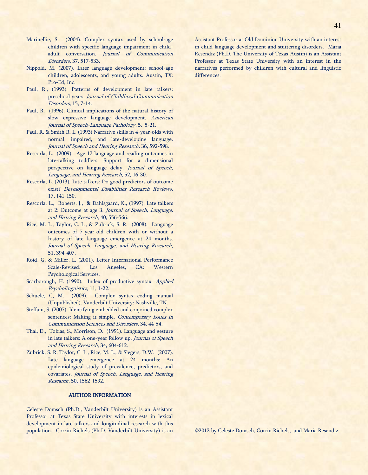- Marinellie, S. (2004). Complex syntax used by school-age children with specific language impairment in childadult conversation. Journal of Communication Disorders, 37, 517-533.
- Nippold, M. (2007), Later language development: school-age children, adolescents, and young adults. Austin, TX: Pro-Ed, Inc.
- Paul, R., (1993). Patterns of development in late talkers: preschool years. Journal of Childhood Communication Disorders, 15, 7-14.
- Paul, R. (1996). Clinical implications of the natural history of slow expressive language development. American Journal of Speech-Language Pathology, 5, 5-21.
- Paul, R, & Smith R. L. (1993) Narrative skills in 4-year-olds with normal, impaired, and late-developing language. Journal of Speech and Hearing Research, 36, 592-598.
- Rescorla, L. (2009). Age 17 language and reading outcomes in late-talking toddlers: Support for a dimensional perspective on language delay. Journal of Speech, Language, and Hearing Research, 52, 16-30.
- Rescorla, L. (2013). Late talkers: Do good predictors of outcome exist? Developmental Disabilities Research Reviews, 17, 141-150.
- Rescorla, L., Roberts, J., & Dahlsgaard, K., (1997). Late talkers at 2: Outcome at age 3. Journal of Speech, Language, and Hearing Research, 40, 556-566.
- Rice, M. L., Taylor, C. L., & Zubrick, S. R. (2008). Language outcomes of 7-year-old children with or without a history of late language emergence at 24 months. Journal of Speech, Language, and Hearing Research, 51, 394-407.
- Roid, G. & Miller, L. (2001). Leiter International Performance Scale-Revised. Los Angeles, CA: Western Psychological Services.
- Scarborough, H. (1990). Index of productive syntax. Applied Psycholinguistics, 11, 1-22.
- Schuele, C, M. (2009). Complex syntax coding manual (Unpublished). Vanderbilt University: Nashville, TN.
- Steffani, S. (2007). Identifying embedded and conjoined complex sentences: Making it simple. Contemporary Issues in Communication Sciences and Disorders, 34, 44-54.
- Thal, D., Tobias, S., Morrison, D. (1991). Language and gesture in late talkers: A one-year follow up. Journal of Speech and Hearing Research, 34, 604-612.
- Zubrick, S. R, Taylor, C. L., Rice, M. L., & Slegers, D.W. (2007). Late language emergence at 24 months: An epidemiological study of prevalence, predictors, and covariates. Journal of Speech, Language, and Hearing Research, 50, 1562-1592.

## AUTHOR INFORMATION

Celeste Domsch (Ph.D., Vanderbilt University) is an Assistant Professor at Texas State University with interests in lexical development in late talkers and longitudinal research with this population. Corrin Richels (Ph.D. Vanderbilt University) is an Assistant Professor at Old Dominion University with an interest in child language development and stuttering disorders. Maria Resendiz (Ph.D. The University of Texas-Austin) is an Assistant Professor at Texas State University with an interest in the narratives performed by children with cultural and linguistic differences.

©2013 by Celeste Domsch, Corrin Richels, and Maria Resendiz.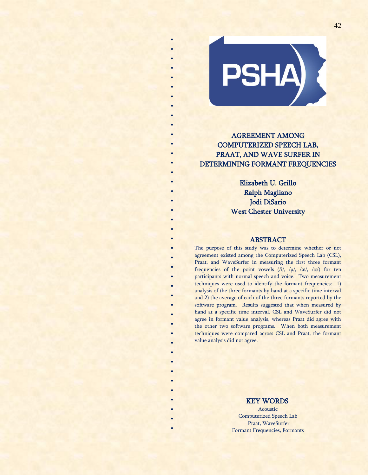

\* \* \* \* \* \*

\* \*

\* \*

\* \* \* \* \* \* \* \* \* \*

\* \* \* \* \* \* \* \*

\* \*

> \* \* \* \* \* \* \* \* \* \* \* \*

# AGREEMENT AMONG COMPUTERIZED SPEECH LAB, PRAAT, AND WAVE SURFER IN DETERMINING FORMANT FREQUENCIES

Elizabeth U. Grillo Ralph Magliano Jodi DiSario West Chester University

# ABSTRACT

The purpose of this study was to determine whether or not agreement existed among the Computerized Speech Lab (CSL), Praat, and WaveSurfer in measuring the first three formant frequencies of the point vowels  $(i/$ ,  $/\mu$ ,  $/\alpha$ ,  $/\alpha$ ) for ten participants with normal speech and voice. Two measurement techniques were used to identify the formant frequencies: 1) analysis of the three formants by hand at a specific time interval and 2) the average of each of the three formants reported by the software program. Results suggested that when measured by hand at a specific time interval, CSL and WaveSurfer did not agree in formant value analysis, whereas Praat did agree with the other two software programs. When both measurement techniques were compared across CSL and Praat, the formant value analysis did not agree.

# KEY WORDS

Acoustic Computerized Speech Lab Praat, WaveSurfer Formant Frequencies, Formants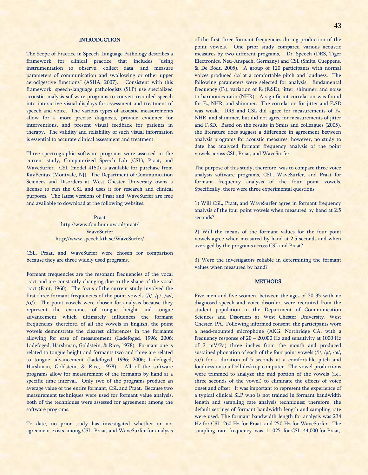## **INTRODUCTION**

The Scope of Practice in Speech-Language Pathology describes a framework for clinical practice that includes "using instrumentation to observe, collect data, and measure parameters of communication and swallowing or other upper aerodigestive functions" (ASHA, 2007). Consistent with this framework, speech-language pathologists (SLP) use specialized acoustic analysis software programs to convert recorded speech into interactive visual displays for assessment and treatment of speech and voice. The various types of acoustic measurements allow for a more precise diagnosis, provide evidence for interventions, and present visual feedback for patients in therapy. The validity and reliability of such visual information is essential to accurate clinical assessment and treatment.

Three spectrographic software programs were assessed in the current study, Computerized Speech Lab (CSL), Praat, and WaveSurfer. CSL (model 4150) is available for purchase from KayPentax (Montvale, NJ). The Department of Communication Sciences and Disorders at West Chester University owns a license to run the CSL and uses it for research and clinical purposes. The latest versions of Praat and WaveSurfer are free and available to download at the following websites:

> Praat <http://www.fon.hum.uva.nl/praat/> **WaveSurfer** [http://www.speech.kth.se/WaveSurfer/](http://www.speech.kth.se/wavesurfer/)

CSL, Praat, and WaveSurfer were chosen for comparison because they are three widely used programs.

Formant frequencies are the resonant frequencies of the vocal tract and are constantly changing due to the shape of the vocal tract (Fant, 1960). The focus of the current study involved the first three formant frequencies of the point vowels  $(i/$ ,  $/\mu$ ,  $/\alpha$ ,  $\alpha$ ). The point vowels were chosen for analysis because they represent the extremes of tongue height and tongue advancement which ultimately influences the formant frequencies; therefore, of all the vowels in English, the point vowels demonstrate the clearest differences in the formants allowing for ease of measurement (Ladefoged, 1996; 2006; Ladefoged, Harshman, Goldstein, & Rice, 1978). Formant one is related to tongue height and formants two and three are related to tongue advancement (Ladefoged, 1996; 2006; Ladefoged, Harshman, Goldstein, & Rice, 1978). All of the software programs allow for measurement of the formants by hand at a specific time interval. Only two of the programs produce an average value of the entire formant, CSL and Praat. Because two measurement techniques were used for formant value analysis, both of the techniques were assessed for agreement among the software programs.

To date, no prior study has investigated whether or not agreement exists among CSL, Praat, and WaveSurfer for analysis of the first three formant frequencies during production of the point vowels. One prior study compared various acoustic measures by two different programs, Dr. Speech (DRS, Tiger Electronics, Neu-Anspach, Germany) and CSL (Smits, Cueppens, & De Bodt, 2005). A group of 120 participants with normal voices produced /α/ at a comfortable pitch and loudness. The following parameters were selected for analysis: fundamental frequency (F<sub>o</sub>), variation of F<sub>o</sub> (F<sub>o</sub>SD), jitter, shimmer, and noise to harmonics ratio (NHR). A significant correlation was found for F<sub>o</sub>, NHR, and shimmer. The correlation for jitter and F<sub>o</sub>SD was weak. DRS and CSL did agree for measurements of Fo, NHR, and shimmer, but did not agree for measurements of jitter and F<sub>o</sub>SD. Based on the results in Smits and colleagues (2005), the literature does suggest a difference in agreement between analysis programs for acoustic measures; however, no study to date has analyzed formant frequency analysis of the point vowels across CSL, Praat, and WaveSurfer.

The purpose of this study, therefore, was to compare three voice analysis software programs, CSL, WaveSurfer, and Praat for formant frequency analysis of the four point vowels. Specifically, there were three experimental questions.

1) Will CSL, Praat, and WaveSurfer agree in formant frequency analysis of the four point vowels when measured by hand at 2.5 seconds?

2) Will the means of the formant values for the four point vowels agree when measured by hand at 2.5 seconds and when averaged by the programs across CSL and Praat?

3) Were the investigators reliable in determining the formant values when measured by hand?

#### **METHODS**

Five men and five women, between the ages of 20-35 with no diagnosed speech and voice disorder, were recruited from the student population in the Department of Communication Sciences and Disorders at West Chester University, West Chester, PA. Following informed consent, the participants wore a head-mounted microphone (AKG, Northridge CA, with a frequency response of 20 – 20,000 Hz and sensitivity at 1000 Hz of 7 mV/Pa) three inches from the mouth and produced sustained phonation of each of the four point vowels  $(i/$ ,  $/\mu$ ,  $/\alpha$ ,  $\alpha$ ) for a duration of 5 seconds at a comfortable pitch and loudness onto a Dell desktop computer. The vowel productions were trimmed to analyze the mid-portion of the vowels (i.e., three seconds of the vowel) to eliminate the effects of voice onset and offset. It was important to represent the experience of a typical clinical SLP who is not trained in formant bandwidth length and sampling rate analysis techniques; therefore, the default settings of formant bandwidth length and sampling rate were used. The formant bandwidth length for analysis was 234 Hz for CSL, 260 Hz for Praat, and 250 Hz for WaveSurfer. The sampling rate frequency was 11,025 for CSL, 44,000 for Praat,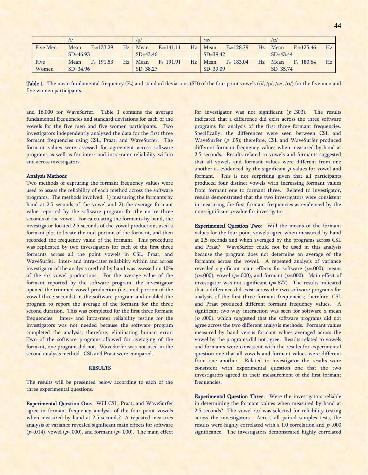|          | /i           |                |    | /W           |                |              | /æ/          |                |              | $/\alpha$    |                |    |
|----------|--------------|----------------|----|--------------|----------------|--------------|--------------|----------------|--------------|--------------|----------------|----|
| Five Men | Mean         | $F_0 = 133.29$ | Hz | Mean         | $F_0 = 141.11$ | Hz           | Mean         | $F_0 = 128.79$ | Hz           | Mean         | $F_0 = 125.46$ | Hz |
|          | $SD=46.93$   |                |    | $SD = 43.46$ |                | $SD = 39.42$ |              |                | $SD = 43.44$ |              |                |    |
| Five     | Mean         | $F_0 = 191.53$ | Hz | Mean         | $F_0 = 191.91$ | Hz           | Mean         | $F_0 = 183.04$ | Hz           | Mean         | $F_0 = 180.64$ | Hz |
| Women    | $SD = 34.96$ |                |    |              | $SD = 38.27$   |              | $SD = 39.09$ |                |              | $SD = 35.74$ |                |    |

**Table 1.** The mean fundamental frequency (F<sub>o</sub>) and standard deviations (SD) of the four point vowels (/i/, / $\mu$ /, / $\alpha$ /, / $\alpha$ /) for the five men and five women participants.

and 16,000 for WaveSurfer. Table 1 contains the average fundamental frequencies and standard deviations for each of the vowels for the five men and five women participants. Two investigators independently analyzed the data for the first three formant frequencies using CSL, Praat, and WaveSurfer. The formant values were assessed for agreement across software programs as well as for inter- and intra-rater reliability within and across investigators.

#### Analysis Methods

Two methods of capturing the formant frequency values were used to assess the reliability of each method across the software programs. The methods involved: 1) measuring the formants by hand at 2.5 seconds of the vowel and 2) the average formant value reported by the software program for the entire three seconds of the vowel. For calculating the formants by hand, the investigator located 2.5 seconds of the vowel production, used a formant plot to locate the mid-portion of the formant, and then recorded the frequency value of the formant. This procedure was replicated by two investigators for each of the first three formants across all the point vowels in CSL, Praat, and WaveSurfer. Inter- and intra-rater reliability within and across investigator of the analysis method by hand was assessed on 10% of the  $/\alpha$  vowel productions. For the average value of the formant reported by the software program, the investigator opened the trimmed vowel production (i.e., mid-portion of the vowel three seconds) in the software program and enabled the program to report the average of the formant for the three second duration. This was completed for the first three formant frequencies. Inter- and intra-rater reliability testing for the investigators was not needed because the software program completed the analysis; therefore, eliminating human error. Two of the software programs allowed for averaging of the formant, one program did not. WaveSurfer was not used in the second analysis method. CSL and Praat were compared.

## RESULTS

The results will be presented below according to each of the three experimental questions.

Experimental Question One: Will CSL, Praat, and WaveSurfer agree in formant frequency analysis of the four point vowels when measured by hand at 2.5 seconds? A repeated measures analysis of variance revealed significant main effects for software  $(p=0.014)$ , vowel ( $p=0.000$ ), and formant ( $p=0.000$ ). The main effect for investigator was not significant  $(p=0.303)$ . The results indicated that a difference did exist across the three software programs for analysis of the first three formant frequencies. Specifically, the differences were seen between CSL and WaveSurfer  $(p=0.05)$ ; therefore, CSL and WaveSurfer produced different formant frequency values when measured by hand at 2.5 seconds. Results related to vowels and formants suggested that all vowels and formant values were different from one another as evidenced by the significant  $p$ -values for vowel and formant. This is not surprising given that all participants produced four distinct vowels with increasing formant values from formant one to formant three. Related to investigator, results demonstrated that the two investigators were consistent in measuring the first formant frequencies as evidenced by the non-significant p-value for investigator.

Experimental Question Two: Will the means of the formant values for the four point vowels agree when measured by hand at 2.5 seconds and when averaged by the programs across CSL and Praat? WaveSurfer could not be used in this analysis because the program does not determine an average of the formants across the vowel. A repeated analysis of variance revealed significant main effects for software  $(p=000)$ , means  $(p=.000)$ , vowel  $(p=.000)$ , and formant  $(p=.000)$ . Main effect of investigator was not significant  $(p=.677)$ . The results indicated that a difference did exist across the two software programs for analysis of the first three formant frequencies; therefore, CSL and Praat produced different formant frequency values. A significant two-way interaction was seen for software x mean  $(p=0.000)$ , which suggested that the software programs did not agree across the two different analysis methods. Formant values measured by hand versus formant values averaged across the vowel by the programs did not agree. Results related to vowels and formants were consistent with the results for experimental question one that all vowels and formant values were different from one another. Related to investigator the results were consistent with experimental question one that the two investigators agreed in their measurement of the first formant frequencies.

Experimental Question Three: Were the investigators reliable in determining the formant values when measured by hand at 2.5 seconds? The vowel  $/\alpha$  was selected for reliability testing across the investigators. Across all paired samples tests, the results were highly correlated with a 1.0 correlation and  $p=0.000$ significance. The investigators demonstrated highly correlated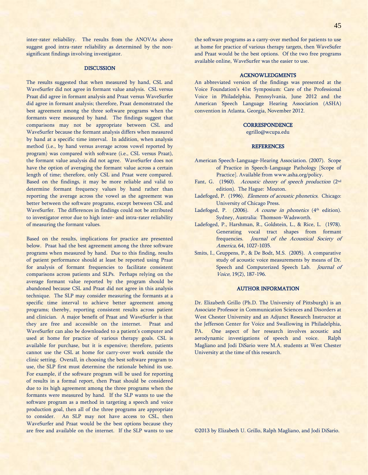inter-rater reliability. The results from the ANOVAs above suggest good intra-rater reliability as determined by the nonsignificant findings involving investigator.

#### **DISCUSSION**

The results suggested that when measured by hand, CSL and WaveSurfer did not agree in formant value analysis. CSL versus Praat did agree in formant analysis and Praat versus WaveSurfer did agree in formant analysis; therefore, Praat demonstrated the best agreement among the three software programs when the formants were measured by hand. The findings suggest that comparisons may not be appropriate between CSL and WaveSurfer because the formant analysis differs when measured by hand at a specific time interval. In addition, when analysis method (i.e., by hand versus average across vowel reported by program) was compared with software (i.e., CSL versus Praat), the formant value analysis did not agree. WaveSurfer does not have the option of averaging the formant value across a certain length of time; therefore, only CSL and Praat were compared. Based on the findings, it may be more reliable and valid to determine formant frequency values by hand rather than reporting the average across the vowel as the agreement was better between the software programs, except between CSL and WaveSurfer. The differences in findings could not be attributed to investigator error due to high inter- and intra-rater reliability of measuring the formant values.

Based on the results, implications for practice are presented below. Praat had the best agreement among the three software programs when measured by hand. Due to this finding, results of patient performance should at least be reported using Praat for analysis of formant frequencies to facilitate consistent comparisons across patients and SLPs. Perhaps relying on the average formant value reported by the program should be abandoned because CSL and Praat did not agree in this analysis technique. The SLP may consider measuring the formants at a specific time interval to achieve better agreement among programs; thereby, reporting consistent results across patient and clinician. A major benefit of Praat and WaveSurfer is that they are free and accessible on the internet. Praat and WaveSurfer can also be downloaded to a patient's computer and used at home for practice of various therapy goals. CSL is available for purchase, but it is expensive; therefore, patients cannot use the CSL at home for carry-over work outside the clinic setting. Overall, in choosing the best software program to use, the SLP first must determine the rationale behind its use. For example, if the software program will be used for reporting of results in a formal report, then Praat should be considered due to its high agreement among the three programs when the formants were measured by hand. If the SLP wants to use the software program as a method in targeting a speech and voice production goal, then all of the three programs are appropriate to consider. An SLP may not have access to CSL, then WaveSurfer and Praat would be the best options because they are free and available on the internet. If the SLP wants to use the software programs as a carry-over method for patients to use at home for practice of various therapy targets, then WaveSufer and Praat would be the best options. Of the two free programs available online, WaveSurfer was the easier to use.

## ACKNOWLEDGMENTS

An abbreviated version of the findings was presented at the Voice Foundation's 41st Symposium: Care of the Professional Voice in Philadelphia, Pennsylvania, June 2012 and the American Speech Language Hearing Association (ASHA) convention in Atlanta, Georgia, November 2012.

## **CORRESPONDENCE**

[egrillo@wcupa.edu](mailto:egrillo@wcupa.edu)

#### **REFERENCES**

- American Speech-Language-Hearing Association. (2007). Scope of Practice in Speech-Language Pathology [Scope of Practice]. Available from www.asha.org/policy.
- Fant, G. (1960). Acoustic theory of speech production (2<sup>nd</sup> edition). The Hague: Mouton.
- Ladefoged, P. (1996). *Elements of acoustic phonetics*. Chicago: University of Chicago Press.
- Ladefoged, P.  $(2006)$ . *A course in phonetics*  $(4<sup>th</sup>$  edition). Sydney, Australia: Thomson-Wadsworth.
- Ladefoged, P., Harshman, R., Goldstein, L., & Rice, L. (1978). Generating vocal tract shapes from formant frequencies. Journal of the Acoustical Society of America, 64, 1027-1035.
- Smits, I., Ceuppens, P., & De Bodt, M.S. (2005). A comparative study of acoustic voice measurements by means of Dr. Speech and Computerized Speech Lab. Journal of Voice, 19(2), 187-196.

#### AUTHOR INFORMATION

Dr. Elizabeth Grillo (Ph.D. The University of Pittsburgh) is an Associate Professor in Communication Sciences and Disorders at West Chester University and an Adjunct Research Instructor at the Jefferson Center for Voice and Swallowing in Philadelphia, PA. One aspect of her research involves acoustic and aerodynamic investigations of speech and voice. Ralph Magliano and Jodi DiSario were M.A. students at West Chester University at the time of this research.

©2013 by Elizabeth U. Grillo, Ralph Magliano, and Jodi DiSario.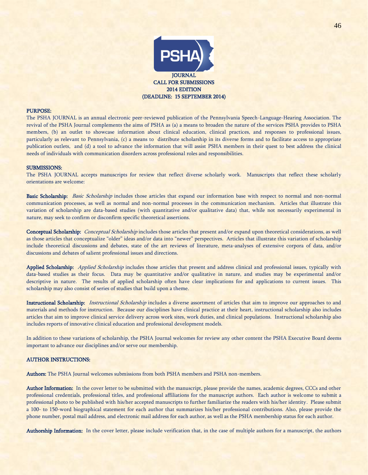

#### PURPOSE:

The PSHA JOURNAL is an annual electronic peer-reviewed publication of the Pennsylvania Speech-Language-Hearing Association. The revival of the PSHA Journal complements the aims of PSHA as (a) a means to broaden the nature of the services PSHA provides to PSHA members, (b) an outlet to showcase information about clinical education, clinical practices, and responses to professional issues, particularly as relevant to Pennsylvania, (c) a means to distribute scholarship in its diverse forms and to facilitate access to appropriate publication outlets, and (d) a tool to advance the information that will assist PSHA members in their quest to best address the clinical needs of individuals with communication disorders across professional roles and responsibilities.

#### SUBMISSIONS:

The PSHA JOURNAL accepts manuscripts for review that reflect diverse scholarly work. Manuscripts that reflect these scholarly orientations are welcome:

Basic Scholarship: Basic Scholarship includes those articles that expand our information base with respect to normal and non-normal communication processes, as well as normal and non-normal processes in the communication mechanism. Articles that illustrate this variation of scholarship are data-based studies (with quantitative and/or qualitative data) that, while not necessarily experimental in nature, may seek to confirm or disconfirm specific theoretical assertions.

Conceptual Scholarship: Conceptual Scholarship includes those articles that present and/or expand upon theoretical considerations, as well as those articles that conceptualize "older" ideas and/or data into "newer" perspectives. Articles that illustrate this variation of scholarship include theoretical discussions and debates, state of the art reviews of literature, meta-analyses of extensive corpora of data, and/or discussions and debates of salient professional issues and directions.

Applied Scholarship: Applied Scholarship includes those articles that present and address clinical and professional issues, typically with data-based studies as their focus. Data may be quantitative and/or qualitative in nature, and studies may be experimental and/or descriptive in nature. The results of applied scholarship often have clear implications for and applications to current issues. This scholarship may also consist of series of studies that build upon a theme.

Instructional Scholarship: *Instructional Scholarship* includes a diverse assortment of articles that aim to improve our approaches to and materials and methods for instruction. Because our disciplines have clinical practice at their heart, instructional scholarship also includes articles that aim to improve clinical service delivery across work sites, work duties, and clinical populations. Instructional scholarship also includes reports of innovative clinical education and professional development models.

In addition to these variations of scholarship, the PSHA Journal welcomes for review any other content the PSHA Executive Board deems important to advance our disciplines and/or serve our membership.

## AUTHOR INSTRUCTIONS:

Authors: The PSHA Journal welcomes submissions from both PSHA members and PSHA non-members.

Author Information: In the cover letter to be submitted with the manuscript, please provide the names, academic degrees, CCCs and other professional credentials, professional titles, and professional affiliations for the manuscript authors. Each author is welcome to submit a professional photo to be published with his/her accepted manuscripts to further familiarize the readers with his/her identity. Please submit a 100- to 150-word biographical statement for each author that summarizes his/her professional contributions. Also, please provide the phone number, postal mail address, and electronic mail address for each author, as well as the PSHA membership status for each author.

Authorship Information: In the cover letter, please include verification that, in the case of multiple authors for a manuscript, the authors